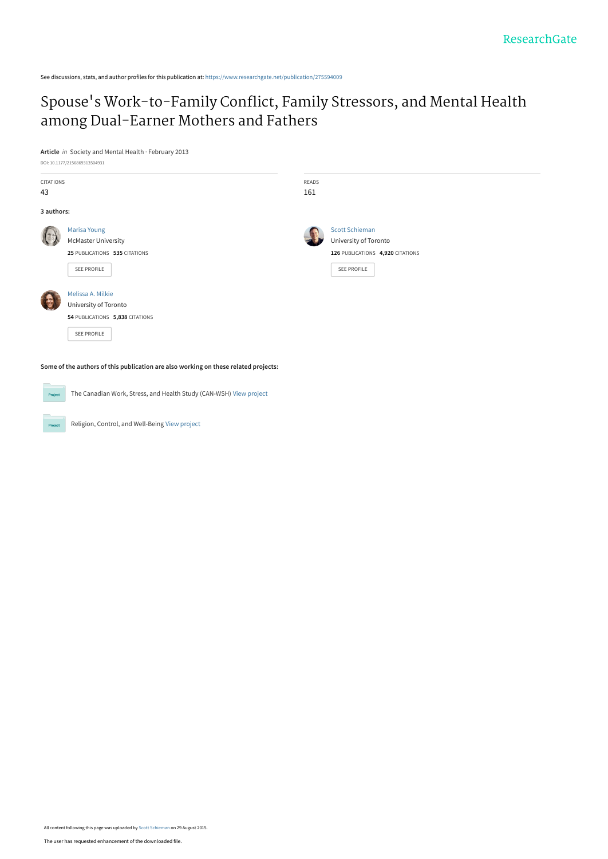See discussions, stats, and author profiles for this publication at: [https://www.researchgate.net/publication/275594009](https://www.researchgate.net/publication/275594009_Spouse%27s_Work-to-Family_Conflict_Family_Stressors_and_Mental_Health_among_Dual-Earner_Mothers_and_Fathers?enrichId=rgreq-185827c05b5146a132fdcf48e3fb8288-XXX&enrichSource=Y292ZXJQYWdlOzI3NTU5NDAwOTtBUzoyNjc3NjA4MDI0NjM3NDRAMTQ0MDg1MDU1ODg5NQ%3D%3D&el=1_x_2&_esc=publicationCoverPdf)

# Spouse['s Work-to-Family Conflict, Family Stressors, and Mental Health](https://www.researchgate.net/publication/275594009_Spouse%27s_Work-to-Family_Conflict_Family_Stressors_and_Mental_Health_among_Dual-Earner_Mothers_and_Fathers?enrichId=rgreq-185827c05b5146a132fdcf48e3fb8288-XXX&enrichSource=Y292ZXJQYWdlOzI3NTU5NDAwOTtBUzoyNjc3NjA4MDI0NjM3NDRAMTQ0MDg1MDU1ODg5NQ%3D%3D&el=1_x_3&_esc=publicationCoverPdf) among Dual-Earner Mothers and Fathers

**Article** in Society and Mental Health · February 2013



Religion, Control, and Well-Being [View project](https://www.researchgate.net/project/Religion-Control-and-Well-Being?enrichId=rgreq-185827c05b5146a132fdcf48e3fb8288-XXX&enrichSource=Y292ZXJQYWdlOzI3NTU5NDAwOTtBUzoyNjc3NjA4MDI0NjM3NDRAMTQ0MDg1MDU1ODg5NQ%3D%3D&el=1_x_9&_esc=publicationCoverPdf)

Project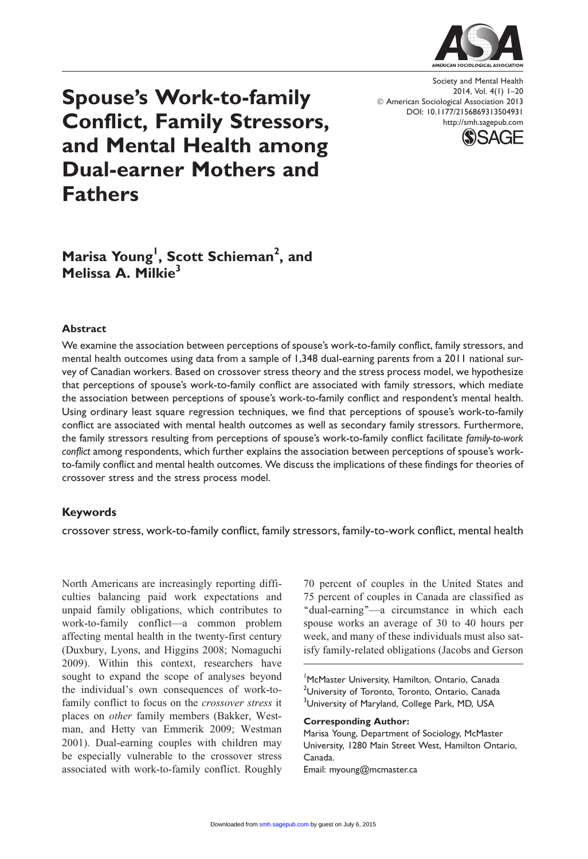

Society and Mental Health 2014, Vol. 4(1) 1–20  $\oslash$  American Sociological Association 2013 DOI: 10.1177/2156869313504931 http://smh.sagepub.com



# Spouse's Work-to-family Conflict, Family Stressors, and Mental Health among Dual-earner Mothers and Fathers

Marisa Young<sup>1</sup>, Scott Schieman<sup>2</sup>, and Melissa A. Milkie $3$ 

#### Abstract

We examine the association between perceptions of spouse's work-to-family conflict, family stressors, and mental health outcomes using data from a sample of 1,348 dual-earning parents from a 2011 national survey of Canadian workers. Based on crossover stress theory and the stress process model, we hypothesize that perceptions of spouse's work-to-family conflict are associated with family stressors, which mediate the association between perceptions of spouse's work-to-family conflict and respondent's mental health. Using ordinary least square regression techniques, we find that perceptions of spouse's work-to-family conflict are associated with mental health outcomes as well as secondary family stressors. Furthermore, the family stressors resulting from perceptions of spouse's work-to-family conflict facilitate family-to-work conflict among respondents, which further explains the association between perceptions of spouse's workto-family conflict and mental health outcomes. We discuss the implications of these findings for theories of crossover stress and the stress process model.

#### Keywords

crossover stress, work-to-family conflict, family stressors, family-to-work conflict, mental health

North Americans are increasingly reporting difficulties balancing paid work expectations and unpaid family obligations, which contributes to work-to-family conflict—a common problem affecting mental health in the twenty-first century (Duxbury, Lyons, and Higgins 2008; Nomaguchi 2009). Within this context, researchers have sought to expand the scope of analyses beyond the individual's own consequences of work-tofamily conflict to focus on the *crossover stress* it places on other family members (Bakker, Westman, and Hetty van Emmerik 2009; Westman 2001). Dual-earning couples with children may be especially vulnerable to the crossover stress associated with work-to-family conflict. Roughly 70 percent of couples in the United States and 75 percent of couples in Canada are classified as ''dual-earning''—a circumstance in which each spouse works an average of 30 to 40 hours per week, and many of these individuals must also satisfy family-related obligations (Jacobs and Gerson

1 McMaster University, Hamilton, Ontario, Canada <sup>2</sup>University of Toronto, Toronto, Ontario, Canada <sup>3</sup>University of Maryland, College Park, MD, USA

Corresponding Author:

Marisa Young, Department of Sociology, McMaster University, 1280 Main Street West, Hamilton Ontario, Canada. Email: myoung@mcmaster.ca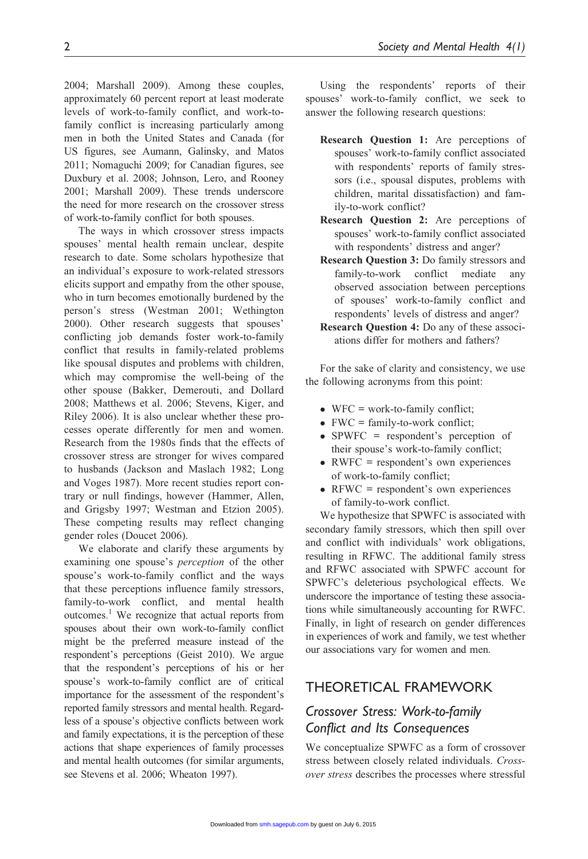2004; Marshall 2009). Among these couples, approximately 60 percent report at least moderate levels of work-to-family conflict, and work-tofamily conflict is increasing particularly among men in both the United States and Canada (for US figures, see Aumann, Galinsky, and Matos 2011; Nomaguchi 2009; for Canadian figures, see Duxbury et al. 2008; Johnson, Lero, and Rooney 2001; Marshall 2009). These trends underscore the need for more research on the crossover stress of work-to-family conflict for both spouses.

The ways in which crossover stress impacts spouses' mental health remain unclear, despite research to date. Some scholars hypothesize that an individual's exposure to work-related stressors elicits support and empathy from the other spouse, who in turn becomes emotionally burdened by the person's stress (Westman 2001; Wethington 2000). Other research suggests that spouses' conflicting job demands foster work-to-family conflict that results in family-related problems like spousal disputes and problems with children, which may compromise the well-being of the other spouse (Bakker, Demerouti, and Dollard 2008; Matthews et al. 2006; Stevens, Kiger, and Riley 2006). It is also unclear whether these processes operate differently for men and women. Research from the 1980s finds that the effects of crossover stress are stronger for wives compared to husbands (Jackson and Maslach 1982; Long and Voges 1987). More recent studies report contrary or null findings, however (Hammer, Allen, and Grigsby 1997; Westman and Etzion 2005). These competing results may reflect changing gender roles (Doucet 2006).

We elaborate and clarify these arguments by examining one spouse's perception of the other spouse's work-to-family conflict and the ways that these perceptions influence family stressors, family-to-work conflict, and mental health outcomes.<sup>1</sup> We recognize that actual reports from spouses about their own work-to-family conflict might be the preferred measure instead of the respondent's perceptions (Geist 2010). We argue that the respondent's perceptions of his or her spouse's work-to-family conflict are of critical importance for the assessment of the respondent's reported family stressors and mental health. Regardless of a spouse's objective conflicts between work and family expectations, it is the perception of these actions that shape experiences of family processes and mental health outcomes (for similar arguments, see Stevens et al. 2006; Wheaton 1997).

Using the respondents' reports of their spouses' work-to-family conflict, we seek to answer the following research questions:

- Research Question 1: Are perceptions of spouses' work-to-family conflict associated with respondents' reports of family stressors (i.e., spousal disputes, problems with children, marital dissatisfaction) and family-to-work conflict?
- Research Question 2: Are perceptions of spouses' work-to-family conflict associated with respondents' distress and anger?
- Research Question 3: Do family stressors and family-to-work conflict mediate any observed association between perceptions of spouses' work-to-family conflict and respondents' levels of distress and anger?
- Research Question 4: Do any of these associations differ for mothers and fathers?

For the sake of clarity and consistency, we use the following acronyms from this point:

- WFC = work-to-family conflict;
- FWC = family-to-work conflict;
- SPWFC = respondent's perception of their spouse's work-to-family conflict;
- RWFC = respondent's own experiences of work-to-family conflict;
- RFWC = respondent's own experiences of family-to-work conflict.

We hypothesize that SPWFC is associated with secondary family stressors, which then spill over and conflict with individuals' work obligations, resulting in RFWC. The additional family stress and RFWC associated with SPWFC account for SPWFC's deleterious psychological effects. We underscore the importance of testing these associations while simultaneously accounting for RWFC. Finally, in light of research on gender differences in experiences of work and family, we test whether our associations vary for women and men.

# THEORETICAL FRAMEWORK

# Crossover Stress: Work-to-family Conflict and Its Consequences

We conceptualize SPWFC as a form of crossover stress between closely related individuals. Crossover stress describes the processes where stressful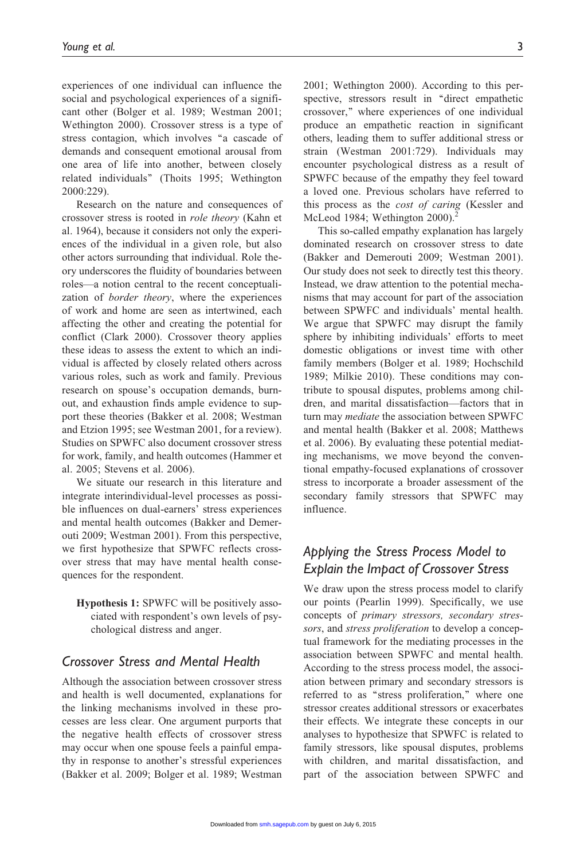experiences of one individual can influence the social and psychological experiences of a significant other (Bolger et al. 1989; Westman 2001; Wethington 2000). Crossover stress is a type of stress contagion, which involves "a cascade of demands and consequent emotional arousal from one area of life into another, between closely related individuals'' (Thoits 1995; Wethington 2000:229).

Research on the nature and consequences of crossover stress is rooted in role theory (Kahn et al. 1964), because it considers not only the experiences of the individual in a given role, but also other actors surrounding that individual. Role theory underscores the fluidity of boundaries between roles—a notion central to the recent conceptualization of border theory, where the experiences of work and home are seen as intertwined, each affecting the other and creating the potential for conflict (Clark 2000). Crossover theory applies these ideas to assess the extent to which an individual is affected by closely related others across various roles, such as work and family. Previous research on spouse's occupation demands, burnout, and exhaustion finds ample evidence to support these theories (Bakker et al. 2008; Westman and Etzion 1995; see Westman 2001, for a review). Studies on SPWFC also document crossover stress for work, family, and health outcomes (Hammer et al. 2005; Stevens et al. 2006).

We situate our research in this literature and integrate interindividual-level processes as possible influences on dual-earners' stress experiences and mental health outcomes (Bakker and Demerouti 2009; Westman 2001). From this perspective, we first hypothesize that SPWFC reflects crossover stress that may have mental health consequences for the respondent.

Hypothesis 1: SPWFC will be positively associated with respondent's own levels of psychological distress and anger.

#### Crossover Stress and Mental Health

Although the association between crossover stress and health is well documented, explanations for the linking mechanisms involved in these processes are less clear. One argument purports that the negative health effects of crossover stress may occur when one spouse feels a painful empathy in response to another's stressful experiences (Bakker et al. 2009; Bolger et al. 1989; Westman

2001; Wethington 2000). According to this perspective, stressors result in "direct empathetic crossover,'' where experiences of one individual produce an empathetic reaction in significant others, leading them to suffer additional stress or strain (Westman 2001:729). Individuals may encounter psychological distress as a result of SPWFC because of the empathy they feel toward a loved one. Previous scholars have referred to this process as the *cost of caring* (Kessler and McLeod 1984; Wethington  $2000$ .

This so-called empathy explanation has largely dominated research on crossover stress to date (Bakker and Demerouti 2009; Westman 2001). Our study does not seek to directly test this theory. Instead, we draw attention to the potential mechanisms that may account for part of the association between SPWFC and individuals' mental health. We argue that SPWFC may disrupt the family sphere by inhibiting individuals' efforts to meet domestic obligations or invest time with other family members (Bolger et al. 1989; Hochschild 1989; Milkie 2010). These conditions may contribute to spousal disputes, problems among children, and marital dissatisfaction—factors that in turn may *mediate* the association between SPWFC and mental health (Bakker et al. 2008; Matthews et al. 2006). By evaluating these potential mediating mechanisms, we move beyond the conventional empathy-focused explanations of crossover stress to incorporate a broader assessment of the secondary family stressors that SPWFC may influence.

## Applying the Stress Process Model to Explain the Impact of Crossover Stress

We draw upon the stress process model to clarify our points (Pearlin 1999). Specifically, we use concepts of primary stressors, secondary stressors, and stress proliferation to develop a conceptual framework for the mediating processes in the association between SPWFC and mental health. According to the stress process model, the association between primary and secondary stressors is referred to as "stress proliferation," where one stressor creates additional stressors or exacerbates their effects. We integrate these concepts in our analyses to hypothesize that SPWFC is related to family stressors, like spousal disputes, problems with children, and marital dissatisfaction, and part of the association between SPWFC and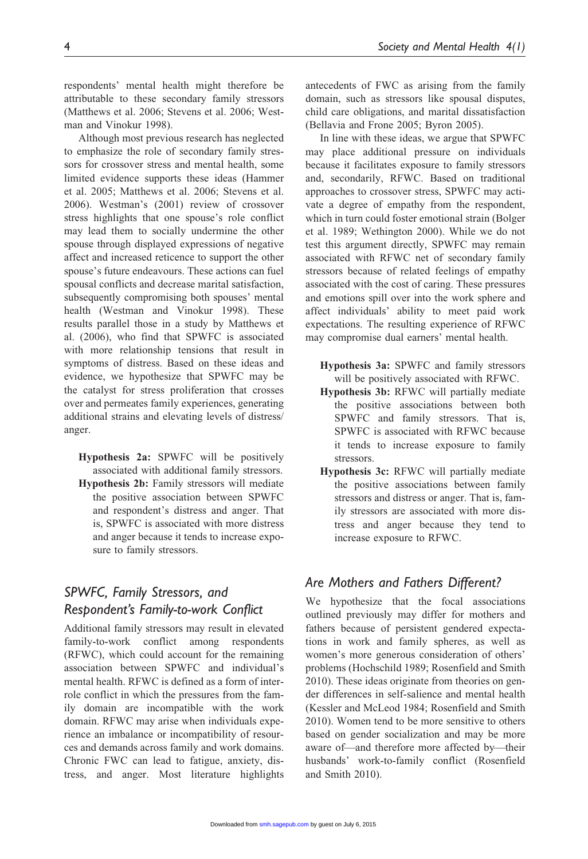respondents' mental health might therefore be attributable to these secondary family stressors (Matthews et al. 2006; Stevens et al. 2006; Westman and Vinokur 1998).

Although most previous research has neglected to emphasize the role of secondary family stressors for crossover stress and mental health, some limited evidence supports these ideas (Hammer et al. 2005; Matthews et al. 2006; Stevens et al. 2006). Westman's (2001) review of crossover stress highlights that one spouse's role conflict may lead them to socially undermine the other spouse through displayed expressions of negative affect and increased reticence to support the other spouse's future endeavours. These actions can fuel spousal conflicts and decrease marital satisfaction, subsequently compromising both spouses' mental health (Westman and Vinokur 1998). These results parallel those in a study by Matthews et al. (2006), who find that SPWFC is associated with more relationship tensions that result in symptoms of distress. Based on these ideas and evidence, we hypothesize that SPWFC may be the catalyst for stress proliferation that crosses over and permeates family experiences, generating additional strains and elevating levels of distress/ anger.

Hypothesis 2a: SPWFC will be positively associated with additional family stressors. Hypothesis 2b: Family stressors will mediate the positive association between SPWFC and respondent's distress and anger. That is, SPWFC is associated with more distress and anger because it tends to increase exposure to family stressors.

## SPWFC, Family Stressors, and Respondent's Family-to-work Conflict

Additional family stressors may result in elevated family-to-work conflict among respondents (RFWC), which could account for the remaining association between SPWFC and individual's mental health. RFWC is defined as a form of interrole conflict in which the pressures from the family domain are incompatible with the work domain. RFWC may arise when individuals experience an imbalance or incompatibility of resources and demands across family and work domains. Chronic FWC can lead to fatigue, anxiety, distress, and anger. Most literature highlights antecedents of FWC as arising from the family domain, such as stressors like spousal disputes, child care obligations, and marital dissatisfaction (Bellavia and Frone 2005; Byron 2005).

In line with these ideas, we argue that SPWFC may place additional pressure on individuals because it facilitates exposure to family stressors and, secondarily, RFWC. Based on traditional approaches to crossover stress, SPWFC may activate a degree of empathy from the respondent, which in turn could foster emotional strain (Bolger et al. 1989; Wethington 2000). While we do not test this argument directly, SPWFC may remain associated with RFWC net of secondary family stressors because of related feelings of empathy associated with the cost of caring. These pressures and emotions spill over into the work sphere and affect individuals' ability to meet paid work expectations. The resulting experience of RFWC may compromise dual earners' mental health.

- Hypothesis 3a: SPWFC and family stressors will be positively associated with RFWC.
- Hypothesis 3b: RFWC will partially mediate the positive associations between both SPWFC and family stressors. That is, SPWFC is associated with RFWC because it tends to increase exposure to family stressors.
- Hypothesis 3c: RFWC will partially mediate the positive associations between family stressors and distress or anger. That is, family stressors are associated with more distress and anger because they tend to increase exposure to RFWC.

## Are Mothers and Fathers Different?

We hypothesize that the focal associations outlined previously may differ for mothers and fathers because of persistent gendered expectations in work and family spheres, as well as women's more generous consideration of others' problems (Hochschild 1989; Rosenfield and Smith 2010). These ideas originate from theories on gender differences in self-salience and mental health (Kessler and McLeod 1984; Rosenfield and Smith 2010). Women tend to be more sensitive to others based on gender socialization and may be more aware of—and therefore more affected by—their husbands' work-to-family conflict (Rosenfield and Smith 2010).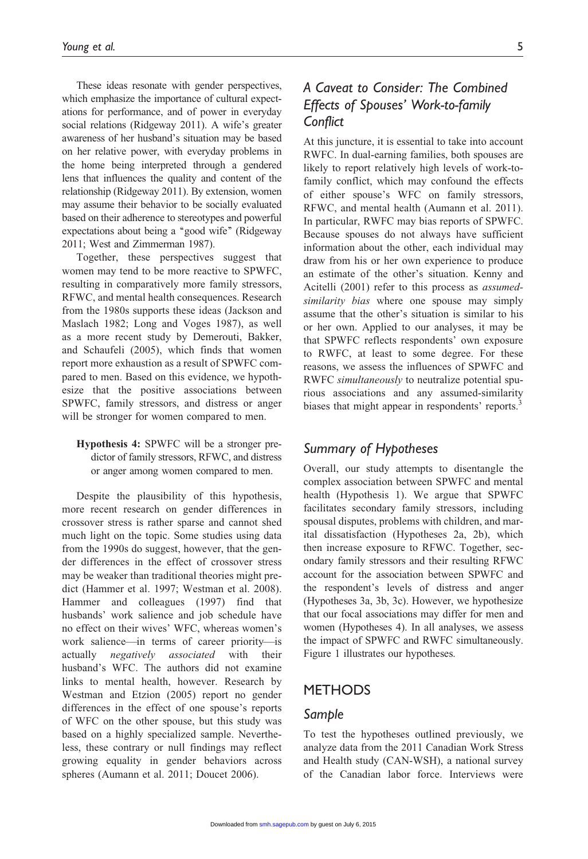These ideas resonate with gender perspectives, which emphasize the importance of cultural expectations for performance, and of power in everyday social relations (Ridgeway 2011). A wife's greater awareness of her husband's situation may be based on her relative power, with everyday problems in the home being interpreted through a gendered lens that influences the quality and content of the relationship (Ridgeway 2011). By extension, women may assume their behavior to be socially evaluated based on their adherence to stereotypes and powerful expectations about being a ''good wife'' (Ridgeway 2011; West and Zimmerman 1987).

Together, these perspectives suggest that women may tend to be more reactive to SPWFC, resulting in comparatively more family stressors, RFWC, and mental health consequences. Research from the 1980s supports these ideas (Jackson and Maslach 1982; Long and Voges 1987), as well as a more recent study by Demerouti, Bakker, and Schaufeli (2005), which finds that women report more exhaustion as a result of SPWFC compared to men. Based on this evidence, we hypothesize that the positive associations between SPWFC, family stressors, and distress or anger will be stronger for women compared to men.

Hypothesis 4: SPWFC will be a stronger predictor of family stressors, RFWC, and distress or anger among women compared to men.

Despite the plausibility of this hypothesis, more recent research on gender differences in crossover stress is rather sparse and cannot shed much light on the topic. Some studies using data from the 1990s do suggest, however, that the gender differences in the effect of crossover stress may be weaker than traditional theories might predict (Hammer et al. 1997; Westman et al. 2008). Hammer and colleagues (1997) find that husbands' work salience and job schedule have no effect on their wives' WFC, whereas women's work salience—in terms of career priority—is actually negatively associated with their husband's WFC. The authors did not examine links to mental health, however. Research by Westman and Etzion (2005) report no gender differences in the effect of one spouse's reports of WFC on the other spouse, but this study was based on a highly specialized sample. Nevertheless, these contrary or null findings may reflect growing equality in gender behaviors across spheres (Aumann et al. 2011; Doucet 2006).

## A Caveat to Consider: The Combined Effects of Spouses' Work-to-family **Conflict**

At this juncture, it is essential to take into account RWFC. In dual-earning families, both spouses are likely to report relatively high levels of work-tofamily conflict, which may confound the effects of either spouse's WFC on family stressors, RFWC, and mental health (Aumann et al. 2011). In particular, RWFC may bias reports of SPWFC. Because spouses do not always have sufficient information about the other, each individual may draw from his or her own experience to produce an estimate of the other's situation. Kenny and Acitelli (2001) refer to this process as *assumed*similarity bias where one spouse may simply assume that the other's situation is similar to his or her own. Applied to our analyses, it may be that SPWFC reflects respondents' own exposure to RWFC, at least to some degree. For these reasons, we assess the influences of SPWFC and RWFC simultaneously to neutralize potential spurious associations and any assumed-similarity biases that might appear in respondents' reports.<sup>3</sup>

#### Summary of Hypotheses

Overall, our study attempts to disentangle the complex association between SPWFC and mental health (Hypothesis 1). We argue that SPWFC facilitates secondary family stressors, including spousal disputes, problems with children, and marital dissatisfaction (Hypotheses 2a, 2b), which then increase exposure to RFWC. Together, secondary family stressors and their resulting RFWC account for the association between SPWFC and the respondent's levels of distress and anger (Hypotheses 3a, 3b, 3c). However, we hypothesize that our focal associations may differ for men and women (Hypotheses 4). In all analyses, we assess the impact of SPWFC and RWFC simultaneously. Figure 1 illustrates our hypotheses.

#### METHODS

#### Sample

To test the hypotheses outlined previously, we analyze data from the 2011 Canadian Work Stress and Health study (CAN-WSH), a national survey of the Canadian labor force. Interviews were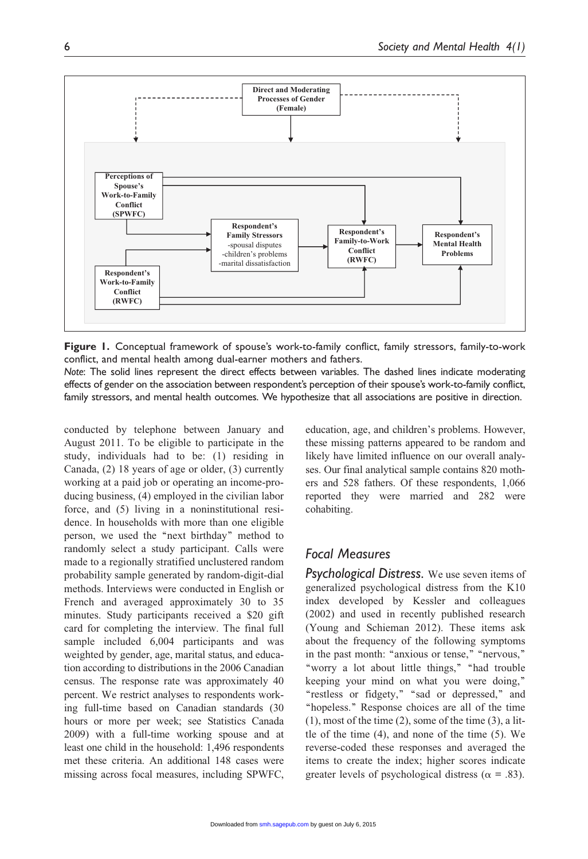

Figure 1. Conceptual framework of spouse's work-to-family conflict, family stressors, family-to-work conflict, and mental health among dual-earner mothers and fathers.

Note: The solid lines represent the direct effects between variables. The dashed lines indicate moderating effects of gender on the association between respondent's perception of their spouse's work-to-family conflict, family stressors, and mental health outcomes. We hypothesize that all associations are positive in direction.

conducted by telephone between January and August 2011. To be eligible to participate in the study, individuals had to be: (1) residing in Canada, (2) 18 years of age or older, (3) currently working at a paid job or operating an income-producing business, (4) employed in the civilian labor force, and (5) living in a noninstitutional residence. In households with more than one eligible person, we used the ''next birthday'' method to randomly select a study participant. Calls were made to a regionally stratified unclustered random probability sample generated by random-digit-dial methods. Interviews were conducted in English or French and averaged approximately 30 to 35 minutes. Study participants received a \$20 gift card for completing the interview. The final full sample included 6,004 participants and was weighted by gender, age, marital status, and education according to distributions in the 2006 Canadian census. The response rate was approximately 40 percent. We restrict analyses to respondents working full-time based on Canadian standards (30 hours or more per week; see Statistics Canada 2009) with a full-time working spouse and at least one child in the household: 1,496 respondents met these criteria. An additional 148 cases were missing across focal measures, including SPWFC,

education, age, and children's problems. However, these missing patterns appeared to be random and likely have limited influence on our overall analyses. Our final analytical sample contains 820 mothers and 528 fathers. Of these respondents, 1,066 reported they were married and 282 were cohabiting.

## Focal Measures

**Psychological Distress.** We use seven items of generalized psychological distress from the K10 index developed by Kessler and colleagues (2002) and used in recently published research (Young and Schieman 2012). These items ask about the frequency of the following symptoms in the past month: "anxious or tense," "nervous," "worry a lot about little things," "had trouble keeping your mind on what you were doing,'' "restless or fidgety," "sad or depressed," and ''hopeless.'' Response choices are all of the time  $(1)$ , most of the time  $(2)$ , some of the time  $(3)$ , a little of the time (4), and none of the time (5). We reverse-coded these responses and averaged the items to create the index; higher scores indicate greater levels of psychological distress ( $\alpha$  = .83).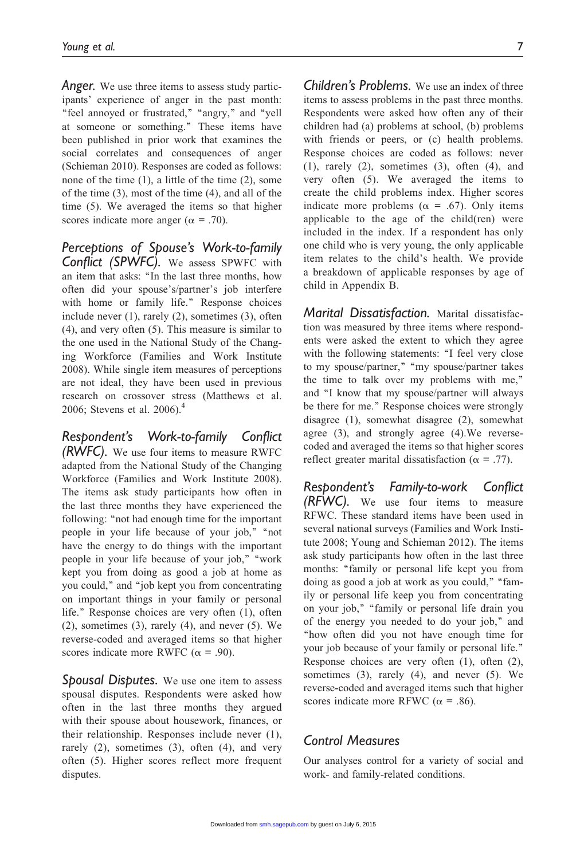Anger. We use three items to assess study participants' experience of anger in the past month: "feel annoyed or frustrated," "angry," and "yell at someone or something.'' These items have been published in prior work that examines the social correlates and consequences of anger (Schieman 2010). Responses are coded as follows: none of the time (1), a little of the time (2), some of the time (3), most of the time (4), and all of the time (5). We averaged the items so that higher scores indicate more anger ( $\alpha$  = .70).

Perceptions of Spouse's Work-to-family Conflict (SPWFC). We assess SPWFC with an item that asks: ''In the last three months, how often did your spouse's/partner's job interfere with home or family life.'' Response choices include never (1), rarely (2), sometimes (3), often (4), and very often (5). This measure is similar to the one used in the National Study of the Changing Workforce (Families and Work Institute 2008). While single item measures of perceptions are not ideal, they have been used in previous research on crossover stress (Matthews et al. 2006; Stevens et al. 2006).<sup>4</sup>

Respondent's Work-to-family Conflict  $(RWFC)$ . We use four items to measure RWFC adapted from the National Study of the Changing Workforce (Families and Work Institute 2008). The items ask study participants how often in the last three months they have experienced the following: "not had enough time for the important people in your life because of your job," "not have the energy to do things with the important people in your life because of your job," "work kept you from doing as good a job at home as you could,'' and ''job kept you from concentrating on important things in your family or personal life.'' Response choices are very often (1), often  $(2)$ , sometimes  $(3)$ , rarely  $(4)$ , and never  $(5)$ . We reverse-coded and averaged items so that higher scores indicate more RWFC ( $\alpha$  = .90).

**Spousal Disputes.** We use one item to assess spousal disputes. Respondents were asked how often in the last three months they argued with their spouse about housework, finances, or their relationship. Responses include never (1), rarely (2), sometimes (3), often (4), and very often (5). Higher scores reflect more frequent disputes.

Children's Problems. We use an index of three items to assess problems in the past three months. Respondents were asked how often any of their children had (a) problems at school, (b) problems with friends or peers, or (c) health problems. Response choices are coded as follows: never (1), rarely (2), sometimes (3), often (4), and very often (5). We averaged the items to create the child problems index. Higher scores indicate more problems ( $\alpha$  = .67). Only items applicable to the age of the child(ren) were included in the index. If a respondent has only one child who is very young, the only applicable item relates to the child's health. We provide a breakdown of applicable responses by age of child in Appendix B.

Marital Dissatisfaction. Marital dissatisfaction was measured by three items where respondents were asked the extent to which they agree with the following statements: "I feel very close to my spouse/partner," "my spouse/partner takes the time to talk over my problems with me,'' and ''I know that my spouse/partner will always be there for me.'' Response choices were strongly disagree (1), somewhat disagree (2), somewhat agree (3), and strongly agree (4).We reversecoded and averaged the items so that higher scores reflect greater marital dissatisfaction ( $\alpha$  = .77).

Respondent's Family-to-work Conflict (RFWC). We use four items to measure RFWC. These standard items have been used in several national surveys (Families and Work Institute 2008; Young and Schieman 2012). The items ask study participants how often in the last three months: "family or personal life kept you from doing as good a job at work as you could," "family or personal life keep you from concentrating on your job," "family or personal life drain you of the energy you needed to do your job," and ''how often did you not have enough time for your job because of your family or personal life.'' Response choices are very often (1), often (2), sometimes (3), rarely (4), and never (5). We reverse-coded and averaged items such that higher scores indicate more RFWC ( $\alpha$  = .86).

## Control Measures

Our analyses control for a variety of social and work- and family-related conditions.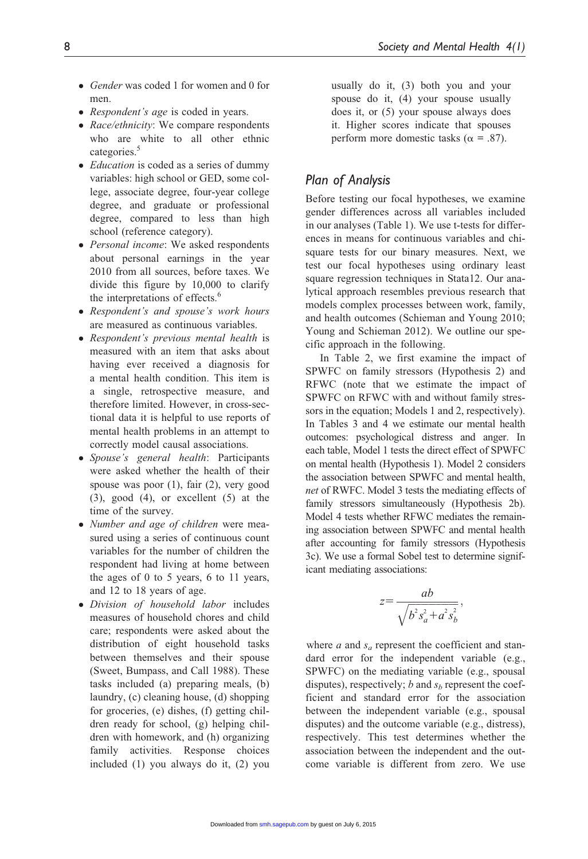- Gender was coded 1 for women and 0 for men.
- Respondent's age is coded in years.
- Race/ethnicity: We compare respondents who are white to all other ethnic categories.<sup>5</sup>
- *Education* is coded as a series of dummy variables: high school or GED, some college, associate degree, four-year college degree, and graduate or professional degree, compared to less than high school (reference category).
- Personal income: We asked respondents about personal earnings in the year 2010 from all sources, before taxes. We divide this figure by 10,000 to clarify the interpretations of effects.<sup>6</sup>
- Respondent's and spouse's work hours are measured as continuous variables.
- Respondent's previous mental health is measured with an item that asks about having ever received a diagnosis for a mental health condition. This item is a single, retrospective measure, and therefore limited. However, in cross-sectional data it is helpful to use reports of mental health problems in an attempt to correctly model causal associations.
- Spouse's general health: Participants were asked whether the health of their spouse was poor (1), fair (2), very good (3), good (4), or excellent (5) at the time of the survey.
- Number and age of children were measured using a series of continuous count variables for the number of children the respondent had living at home between the ages of 0 to 5 years, 6 to 11 years, and 12 to 18 years of age.
- Division of household labor includes measures of household chores and child care; respondents were asked about the distribution of eight household tasks between themselves and their spouse (Sweet, Bumpass, and Call 1988). These tasks included (a) preparing meals, (b) laundry, (c) cleaning house, (d) shopping for groceries, (e) dishes, (f) getting children ready for school, (g) helping children with homework, and (h) organizing family activities. Response choices included (1) you always do it, (2) you

usually do it, (3) both you and your spouse do it, (4) your spouse usually does it, or (5) your spouse always does it. Higher scores indicate that spouses perform more domestic tasks ( $\alpha$  = .87).

#### Plan of Analysis

Before testing our focal hypotheses, we examine gender differences across all variables included in our analyses (Table 1). We use t-tests for differences in means for continuous variables and chisquare tests for our binary measures. Next, we test our focal hypotheses using ordinary least square regression techniques in Stata12. Our analytical approach resembles previous research that models complex processes between work, family, and health outcomes (Schieman and Young 2010; Young and Schieman 2012). We outline our specific approach in the following.

In Table 2, we first examine the impact of SPWFC on family stressors (Hypothesis 2) and RFWC (note that we estimate the impact of SPWFC on RFWC with and without family stressors in the equation; Models 1 and 2, respectively). In Tables 3 and 4 we estimate our mental health outcomes: psychological distress and anger. In each table, Model 1 tests the direct effect of SPWFC on mental health (Hypothesis 1). Model 2 considers the association between SPWFC and mental health, net of RWFC. Model 3 tests the mediating effects of family stressors simultaneously (Hypothesis 2b). Model 4 tests whether RFWC mediates the remaining association between SPWFC and mental health after accounting for family stressors (Hypothesis 3c). We use a formal Sobel test to determine significant mediating associations:

$$
z = \frac{ab}{\sqrt{b^2 s_a^2 + a^2 s_b^2}},
$$

where  $a$  and  $s_a$  represent the coefficient and standard error for the independent variable (e.g., SPWFC) on the mediating variable (e.g., spousal disputes), respectively; b and  $s<sub>b</sub>$  represent the coefficient and standard error for the association between the independent variable (e.g., spousal disputes) and the outcome variable (e.g., distress), respectively. This test determines whether the association between the independent and the outcome variable is different from zero. We use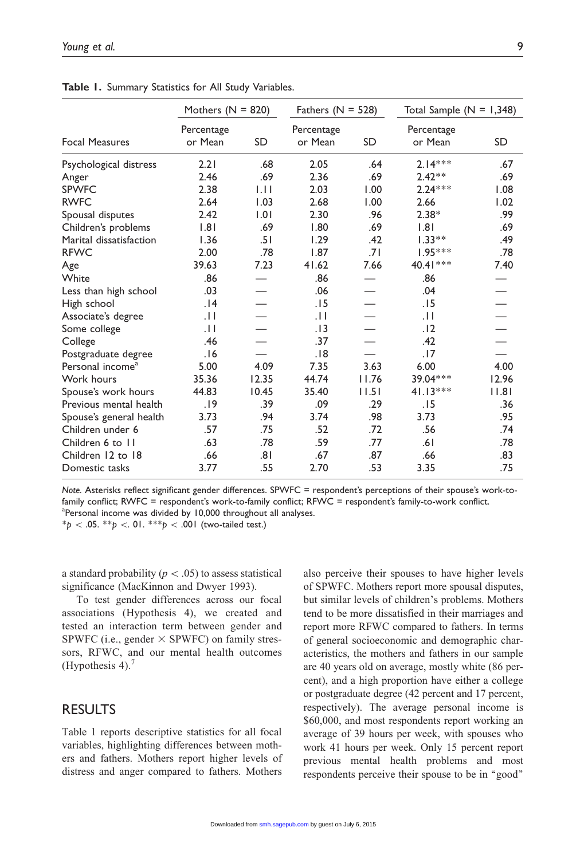|                              | Mothers $(N = 820)$   |           | Fathers $(N = 528)$   |           | Total Sample $(N = 1,348)$ |       |  |
|------------------------------|-----------------------|-----------|-----------------------|-----------|----------------------------|-------|--|
| <b>Focal Measures</b>        | Percentage<br>or Mean | <b>SD</b> | Percentage<br>or Mean | <b>SD</b> | Percentage<br>or Mean      | SD    |  |
| Psychological distress       | 2.21                  | .68       | 2.05                  | .64       | $2.14***$                  | .67   |  |
| Anger                        | 2.46                  | .69       | 2.36                  | .69       | $2.42**$                   | .69   |  |
| <b>SPWFC</b>                 | 2.38                  | Ш         | 2.03                  | 1.00      | $2.24***$                  | 1.08  |  |
| <b>RWFC</b>                  | 2.64                  | 1.03      | 2.68                  | 1.00      | 2.66                       | 1.02  |  |
| Spousal disputes             | 2.42                  | 1.01      | 2.30                  | .96       | $2.38*$                    | .99   |  |
| Children's problems          | 1.81                  | .69       | 1.80                  | .69       | 1.81                       | .69   |  |
| Marital dissatisfaction      | 1.36                  | .51       | 1.29                  | .42       | $1.33**$                   | .49   |  |
| <b>RFWC</b>                  | 2.00                  | .78       | 1.87                  | .71       | $1.95***$                  | .78   |  |
| Age                          | 39.63                 | 7.23      | 41.62                 | 7.66      | $40.41***$                 | 7.40  |  |
| White                        | .86                   |           | .86                   |           | .86                        |       |  |
| Less than high school        | .03                   |           | .06                   |           | .04                        |       |  |
| High school                  | . 14                  |           | .15                   |           | . I 5                      |       |  |
| Associate's degree           | $\overline{11}$       |           | $  \cdot  $           |           | .H                         |       |  |
| Some college                 | $\overline{11}$       |           | .13                   |           | .12                        |       |  |
| College                      | .46                   |           | .37                   |           | .42                        |       |  |
| Postgraduate degree          | .16                   |           | .18                   |           | .17                        |       |  |
| Personal income <sup>a</sup> | 5.00                  | 4.09      | 7.35                  | 3.63      | 6.00                       | 4.00  |  |
| Work hours                   | 35.36                 | 12.35     | 44.74                 | 11.76     | 39.04***                   | 12.96 |  |
| Spouse's work hours          | 44.83                 | 10.45     | 35.40                 | 11.51     | $41.13***$                 | 1.8   |  |
| Previous mental health       | .19                   | .39       | .09                   | .29       | .15                        | .36   |  |
| Spouse's general health      | 3.73                  | .94       | 3.74                  | .98       | 3.73                       | .95   |  |
| Children under 6             | .57                   | .75       | .52                   | .72       | .56                        | .74   |  |
| Children 6 to 11             | .63                   | .78       | .59                   | .77       | .61                        | .78   |  |
| Children 12 to 18            | .66                   | .81       | .67                   | .87       | .66                        | .83   |  |
| Domestic tasks               | 3.77                  | .55       | 2.70                  | .53       | 3.35                       | .75   |  |

Table 1. Summary Statistics for All Study Variables.

Note. Asterisks reflect significant gender differences. SPWFC = respondent's perceptions of their spouse's work-tofamily conflict; RWFC = respondent's work-to-family conflict; RFWC = respondent's family-to-work conflict. <sup>a</sup>Personal income was divided by 10,000 throughout all analyses.

\* $p < .05.$  \*\* $p < .01.$  \*\*\* $p < .001$  (two-tailed test.)

a standard probability ( $p < .05$ ) to assess statistical significance (MacKinnon and Dwyer 1993).

To test gender differences across our focal associations (Hypothesis 4), we created and tested an interaction term between gender and SPWFC (i.e., gender  $\times$  SPWFC) on family stressors, RFWC, and our mental health outcomes (Hypothesis 4). $<sup>7</sup>$ </sup>

## RESULTS

Table 1 reports descriptive statistics for all focal variables, highlighting differences between mothers and fathers. Mothers report higher levels of distress and anger compared to fathers. Mothers

also perceive their spouses to have higher levels of SPWFC. Mothers report more spousal disputes, but similar levels of children's problems. Mothers tend to be more dissatisfied in their marriages and report more RFWC compared to fathers. In terms of general socioeconomic and demographic characteristics, the mothers and fathers in our sample are 40 years old on average, mostly white (86 percent), and a high proportion have either a college or postgraduate degree (42 percent and 17 percent, respectively). The average personal income is \$60,000, and most respondents report working an average of 39 hours per week, with spouses who work 41 hours per week. Only 15 percent report previous mental health problems and most respondents perceive their spouse to be in ''good''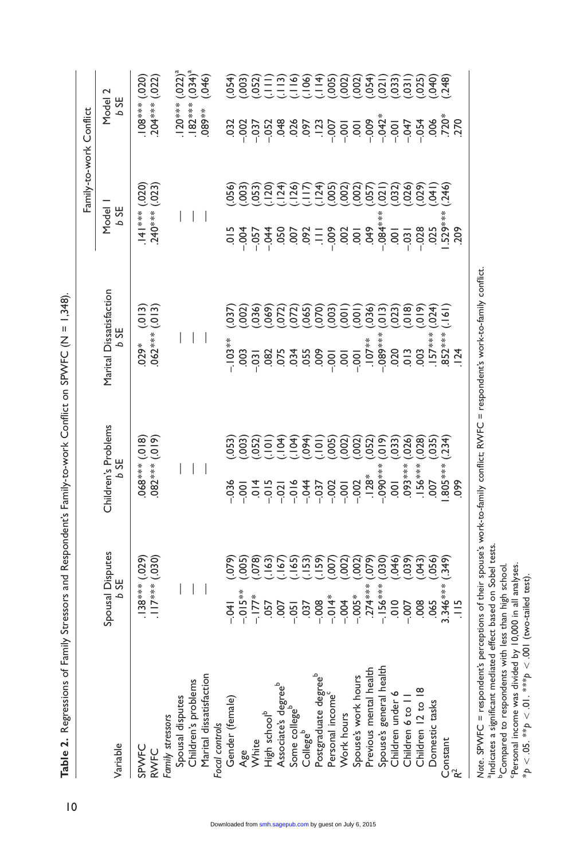|                                                                |                                                                                                                                                                                                                                                                                                                                                              |                                        |                                                                                                                                                                                                                                                                                                                    | Family-to-work Conflict                                                                                                                                                                                                                                                                                                           |                                                      |
|----------------------------------------------------------------|--------------------------------------------------------------------------------------------------------------------------------------------------------------------------------------------------------------------------------------------------------------------------------------------------------------------------------------------------------------|----------------------------------------|--------------------------------------------------------------------------------------------------------------------------------------------------------------------------------------------------------------------------------------------------------------------------------------------------------------------|-----------------------------------------------------------------------------------------------------------------------------------------------------------------------------------------------------------------------------------------------------------------------------------------------------------------------------------|------------------------------------------------------|
| Variable                                                       | Spousal Disputes<br>9S<br>م                                                                                                                                                                                                                                                                                                                                  | Children's Problems<br>9SE             | Marital Dissatisfaction<br><b>JSSE</b>                                                                                                                                                                                                                                                                             | Model<br><b>JSQ</b>                                                                                                                                                                                                                                                                                                               | 2<br>Model <sup>:</sup><br><b>JS G</b>               |
| SPWFC<br><b>RWFC</b>                                           | (030)<br>(.029)<br>38****<br>$17***$                                                                                                                                                                                                                                                                                                                         | (019)<br>(018)<br>.082 ***<br>$068***$ | $(013)$<br>$(013)$<br>$0.1***1$<br>$.029*$                                                                                                                                                                                                                                                                         | (023)<br>(020)<br>$.240***$<br>$ +$ $+$ $+$ $+$ $-$                                                                                                                                                                                                                                                                               | (.020)<br>(022)<br>$.204***$<br>$1***801$ .          |
| Children's problems<br>Spousal disputes<br>Family stressors    |                                                                                                                                                                                                                                                                                                                                                              |                                        |                                                                                                                                                                                                                                                                                                                    |                                                                                                                                                                                                                                                                                                                                   | $^{10.034)^a}$<br>$(.022)^{a}$<br>$120***$<br>182*** |
| Marital dissatisfaction                                        |                                                                                                                                                                                                                                                                                                                                                              |                                        |                                                                                                                                                                                                                                                                                                                    |                                                                                                                                                                                                                                                                                                                                   | 046)<br>.089**                                       |
| Gender (female)<br>Focal controls                              | (620)<br>$\frac{4}{1}$                                                                                                                                                                                                                                                                                                                                       |                                        | $-103**$                                                                                                                                                                                                                                                                                                           |                                                                                                                                                                                                                                                                                                                                   |                                                      |
| ge<br>Age                                                      | (500, 00)                                                                                                                                                                                                                                                                                                                                                    |                                        |                                                                                                                                                                                                                                                                                                                    |                                                                                                                                                                                                                                                                                                                                   |                                                      |
| White                                                          | (078)                                                                                                                                                                                                                                                                                                                                                        |                                        |                                                                                                                                                                                                                                                                                                                    |                                                                                                                                                                                                                                                                                                                                   |                                                      |
| Associate's degree <sup>b</sup><br>High school <sup>b</sup>    | (.163)<br>$\begin{array}{l} -015^{**} \\ -177^{**} \\ -0.57 \\ -0.05 \\ -0.05 \\ -0.05 \\ -0.05 \\ -0.05 \\ -0.05 \\ -0.05 \\ -0.05 \\ -0.05 \\ -0.05 \\ -0.05 \\ -0.05 \\ -0.05 \\ -0.05 \\ -0.05 \\ -0.05 \\ -0.05 \\ -0.05 \\ -0.05 \\ -0.05 \\ -0.05 \\ -0.05 \\ -0.05 \\ -0.05 \\ -0.05 \\ -0.05 \\ -0.05 \\ -0.05 \\ -0.05 \\ -0.05 \\ -0.05 \\ -0.05$ |                                        | $\begin{smallmatrix} (1,0) & (1,0) & (1,0) & (1,0) & (1,0) & (1,0) & (1,0) & (1,0) & (1,0) & (1,0) & (1,0) & (1,0) & (1,0) & (1,0) & (1,0) & (1,0) & (1,0) & (1,0) & (1,0) & (1,0) & (1,0) & (1,0) & (1,0) & (1,0) & (1,0) & (1,0) & (1,0) & (1,0) & (1,0) & (1,0) & (1,0) & (1,0) & (1,0) & (1,0) & (1,0) & (1,0$ | $\begin{array}{l} \textcircled{\scriptsize{3}}} \textcircled{\scriptsize{3}} \textcircled{\scriptsize{3}} \textcircled{\scriptsize{3}} \textcircled{\scriptsize{3}} \textcircled{\scriptsize{3}} \textcircled{\scriptsize{3}} \textcircled{\scriptsize{3}} \textcircled{\scriptsize{3}} \textcircled{\scriptsize{3}} \end{array}$ |                                                      |
| Some college <sup>b</sup>                                      |                                                                                                                                                                                                                                                                                                                                                              |                                        |                                                                                                                                                                                                                                                                                                                    |                                                                                                                                                                                                                                                                                                                                   |                                                      |
| College <sup>b</sup>                                           |                                                                                                                                                                                                                                                                                                                                                              |                                        |                                                                                                                                                                                                                                                                                                                    |                                                                                                                                                                                                                                                                                                                                   |                                                      |
| Postgraduate degree <sup>b</sup>                               |                                                                                                                                                                                                                                                                                                                                                              |                                        |                                                                                                                                                                                                                                                                                                                    |                                                                                                                                                                                                                                                                                                                                   |                                                      |
| Personal income                                                |                                                                                                                                                                                                                                                                                                                                                              |                                        |                                                                                                                                                                                                                                                                                                                    |                                                                                                                                                                                                                                                                                                                                   |                                                      |
| Work hours                                                     |                                                                                                                                                                                                                                                                                                                                                              |                                        |                                                                                                                                                                                                                                                                                                                    |                                                                                                                                                                                                                                                                                                                                   |                                                      |
| Previous mental health<br>Spouse's work hours                  | (620)                                                                                                                                                                                                                                                                                                                                                        |                                        | $107**$                                                                                                                                                                                                                                                                                                            |                                                                                                                                                                                                                                                                                                                                   |                                                      |
| Spouse's general health                                        | (0.50)                                                                                                                                                                                                                                                                                                                                                       |                                        | $-0$ 89***<br>020<br>013<br>013                                                                                                                                                                                                                                                                                    |                                                                                                                                                                                                                                                                                                                                   |                                                      |
| Children under 6                                               | (046)                                                                                                                                                                                                                                                                                                                                                        | (650, 0)<br>$\overline{5}$             |                                                                                                                                                                                                                                                                                                                    | (32)                                                                                                                                                                                                                                                                                                                              |                                                      |
| Children 6 to 11                                               | (039)                                                                                                                                                                                                                                                                                                                                                        | (026)<br>****093                       |                                                                                                                                                                                                                                                                                                                    | $(38)$<br>$(38)$<br>$(4)$<br>$(4)$                                                                                                                                                                                                                                                                                                |                                                      |
| Children 12 to 18                                              | (၁၁၈)<br>(၁၁၈)<br>(၁၁၈)                                                                                                                                                                                                                                                                                                                                      | (820)<br>$.156***$                     |                                                                                                                                                                                                                                                                                                                    |                                                                                                                                                                                                                                                                                                                                   |                                                      |
| Domestic tasks                                                 |                                                                                                                                                                                                                                                                                                                                                              | $(35)$<br>$(234)$<br>007               | $.157***$                                                                                                                                                                                                                                                                                                          |                                                                                                                                                                                                                                                                                                                                   |                                                      |
| Constant                                                       | 3.346***                                                                                                                                                                                                                                                                                                                                                     | 805***                                 | $\frac{1}{61}$<br>$.852***$<br>$.124$                                                                                                                                                                                                                                                                              |                                                                                                                                                                                                                                                                                                                                   |                                                      |
| $\mathbf{R}^2$                                                 | $-115$                                                                                                                                                                                                                                                                                                                                                       | 099                                    |                                                                                                                                                                                                                                                                                                                    |                                                                                                                                                                                                                                                                                                                                   |                                                      |
| aIndicates a significant mediated effect based on Sobel tests. |                                                                                                                                                                                                                                                                                                                                                              |                                        | Nate. SPWFC = respondent's perceptions of their spouse's work-to-family conflict, RWFC = respondent's work-to-family conflict.                                                                                                                                                                                     |                                                                                                                                                                                                                                                                                                                                   |                                                      |

Table 2. Regressions of Family Stressors and Respondent's Family-to-work Conflict on SPWFC (N = 1.348). Table 2. Regressions of Family Stressors and Respondent's Family-to-work Conflict on SPWFC (N = 1,348).

bCompared to respondents with less than high school. cPersonal income was divided by 10,000 in all analyses.  $*p < 0.5$ .  $**p < 0.1$ .  $***p < 0.01$  (two-tailed test).

aIndicates a significant mediated effect based on Sobel tests. <sup>b</sup>Compared to respondents with less than high school.<br>
<sup>C</sup>Personal income was divided by 10,000 in all analyses.<br>  $*_p$  < .05.  $**_p$  < .01.  $***_p$  < .001 (two-tailed test).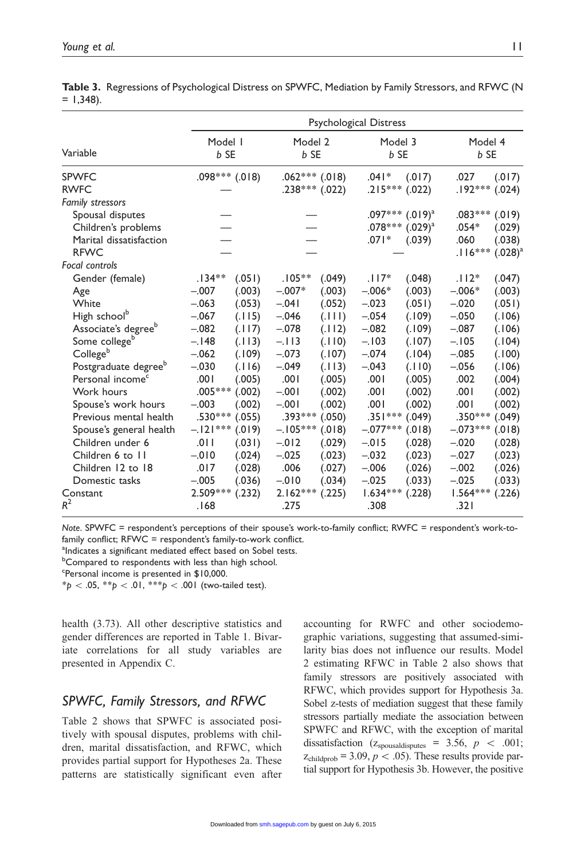|                                  |                    | <b>Psychological Distress</b> |                           |                           |  |  |
|----------------------------------|--------------------|-------------------------------|---------------------------|---------------------------|--|--|
|                                  | Model I            |                               | Model 3                   | Model 4                   |  |  |
| Variable                         | b SE               | b SE                          | b SE                      | b SE                      |  |  |
| <b>SPWFC</b>                     | $.098***$ $(.018)$ | $.062***$ (.018)              | $.041*$<br>(.017)         | .027<br>(.017)            |  |  |
| <b>RWFC</b>                      |                    | $.238***$ $(.022)$            | $.215***$ (.022)          | $.192***$<br>(.024)       |  |  |
| Family stressors                 |                    |                               |                           |                           |  |  |
| Spousal disputes                 |                    |                               | $.097***$ $(.019)^{a}$    | $.083***$<br>(.019)       |  |  |
| Children's problems              |                    |                               | $.078***$<br>$(.029)^{a}$ | $.054*$<br>(.029)         |  |  |
| Marital dissatisfaction          |                    |                               | $.071*$<br>(.039)         | .060<br>(.038)            |  |  |
| <b>RFWC</b>                      |                    |                               |                           | $.116***$<br>$(.028)^{a}$ |  |  |
| Focal controls                   |                    |                               |                           |                           |  |  |
| Gender (female)                  | $.134***$          | $.105**$                      | $.117*$                   | $.112*$                   |  |  |
|                                  | (.051)             | (.049)                        | (.048)                    | (.047)                    |  |  |
| Age                              | $-.007$            | $-.007*$                      | $-.006*$                  | $-.006*$                  |  |  |
|                                  | (.003)             | (.003)                        | (.003)                    | (.003)                    |  |  |
| White                            | $-.063$            | $-.041$                       | $-.023$                   | $-.020$                   |  |  |
|                                  | (.053)             | (.052)                        | (.051)                    | (.051)                    |  |  |
| High school <sup>b</sup>         | $-.067$            | $-.046$                       | $-.054$                   | $-.050$                   |  |  |
|                                  | (.115)             | (.111)                        | (.109)                    | (.106)                    |  |  |
| Associate's degree <sup>b</sup>  | $-.082$            | $-.078$                       | $-.082$                   | $-.087$                   |  |  |
|                                  | (.117)             | (.112)                        | (.109)                    | (.106)                    |  |  |
| Some college <sup>b</sup>        | $-.148$            | $-.113$                       | $-.103$                   | $-.105$                   |  |  |
|                                  | (.113)             | (.110)                        | (.107)                    | (.104)                    |  |  |
| Collegeb                         | $-.062$            | $-.073$                       | $-.074$                   | $-.085$                   |  |  |
|                                  | (.109)             | (.107)                        | (.104)                    | (.100)                    |  |  |
| Postgraduate degree <sup>b</sup> | $-.030$            | $-.049$                       | $-.043$                   | $-.056$                   |  |  |
|                                  | (.116)             | (.113)                        | (.110)                    | (.106)                    |  |  |
| Personal income <sup>c</sup>     | .001               | .001                          | .001                      | .002                      |  |  |
|                                  | (.005)             | (.005)                        | (.005)                    | (.004)                    |  |  |
| Work hours                       | $.005***$          | $-.001$                       | .001                      | .001                      |  |  |
|                                  | (.002)             | (.002)                        | (.002)                    | (.002)                    |  |  |
| Spouse's work hours              | $-.003$            | $-.001$                       | .001                      | .001                      |  |  |
|                                  | (.002)             | (.002)                        | (.002)                    | (.002)                    |  |  |
| Previous mental health           | .530 ***           | .393 ***                      | $.351***$                 | .350***                   |  |  |
|                                  | (.055)             | (.050)                        | (.049)                    | (.049)                    |  |  |
| Spouse's general health          | $-.121***$         | $-.105***$                    | $-.077***$                | $-.073***$                |  |  |
|                                  | (.019)             | (.018)                        | (.018)                    | (.018)                    |  |  |
| Children under 6                 | .011               | $-.012$                       | $-.015$                   | $-.020$                   |  |  |
|                                  | (.031)             | (.029)                        | (.028)                    | (.028)                    |  |  |
| Children 6 to 11                 | $-.010$            | $-.025$                       | $-.032$                   | $-.027$                   |  |  |
|                                  | (.024)             | (.023)                        | (.023)                    | (.023)                    |  |  |
| Children 12 to 18                | .017               | .006                          | $-.006$                   | $-.002$                   |  |  |
|                                  | (.028)             | (.027)                        | (.026)                    | (.026)                    |  |  |
| Domestic tasks                   | $-.005$            | $-.010$                       | $-.025$                   | $-.025$                   |  |  |
|                                  | (.036)             | (.034)                        | (.033)                    | (.033)                    |  |  |
| Constant                         | 2.509***           | $2.162***$                    | $1.634***$                | $1.564***$                |  |  |
|                                  | (.232)             | (.225)                        | (.228)                    | (.226)                    |  |  |
| $R^2$                            | .168               | .275                          | .308                      | .321                      |  |  |

Table 3. Regressions of Psychological Distress on SPWFC, Mediation by Family Stressors, and RFWC (N  $= 1,348$ ).

Note. SPWFC = respondent's perceptions of their spouse's work-to-family conflict; RWFC = respondent's work-tofamily conflict; RFWC = respondent's family-to-work conflict.

<sup>a</sup>Indicates a significant mediated effect based on Sobel tests.

**bCompared to respondents with less than high school.** 

<sup>c</sup>Personal income is presented in \$10,000.

\*p < .05, \*\*p < .01, \*\*\*p < .001 (two-tailed test).

health (3.73). All other descriptive statistics and gender differences are reported in Table 1. Bivariate correlations for all study variables are presented in Appendix C.

## SPWFC, Family Stressors, and RFWC

Table 2 shows that SPWFC is associated positively with spousal disputes, problems with children, marital dissatisfaction, and RFWC, which provides partial support for Hypotheses 2a. These patterns are statistically significant even after accounting for RWFC and other sociodemographic variations, suggesting that assumed-similarity bias does not influence our results. Model 2 estimating RFWC in Table 2 also shows that family stressors are positively associated with RFWC, which provides support for Hypothesis 3a. Sobel z-tests of mediation suggest that these family stressors partially mediate the association between SPWFC and RFWC, with the exception of marital dissatisfaction ( $z_{\text{spousaldisputes}}$  = 3.56,  $p \, < \, .001;$  $z_{\text{children}} = 3.09, p \lt .05$ . These results provide partial support for Hypothesis 3b. However, the positive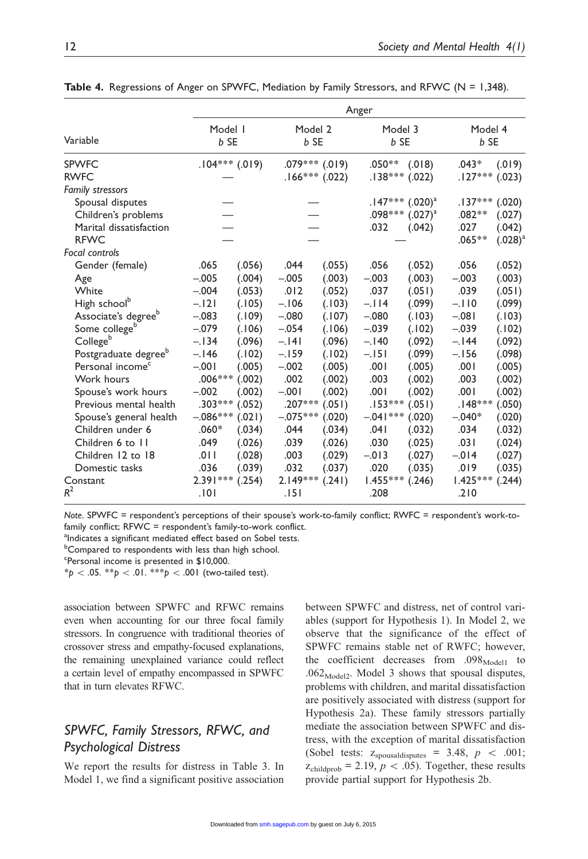|                                  | Anger           |                    |            |                  |            |                 |            |              |  |
|----------------------------------|-----------------|--------------------|------------|------------------|------------|-----------------|------------|--------------|--|
| Variable                         | Model I<br>b SE |                    |            | Model 2<br>b SE  |            | Model 3<br>b SE | b SE       | Model 4      |  |
|                                  |                 |                    |            |                  |            |                 |            |              |  |
| <b>SPWFC</b>                     |                 | $.104***$ $(.019)$ |            | $.079***(.019)$  | $.050**$   | (.018)          | $.043*$    | (.019)       |  |
| <b>RWFC</b>                      |                 |                    |            | $.166***$ (.022) | $.138***$  | (.022)          | $.127***$  | (.023)       |  |
| <b>Family stressors</b>          |                 |                    |            |                  |            |                 |            |              |  |
| Spousal disputes                 |                 |                    |            |                  | $.147***$  | $(.020)^{a}$    | $.137***$  | (.020)       |  |
| Children's problems              |                 |                    |            |                  | .098***    | $(.027)^{a}$    | $.082**$   | (.027)       |  |
| Marital dissatisfaction          |                 |                    |            |                  |            | (.042)          | .027       | (.042)       |  |
| <b>RFWC</b>                      |                 |                    |            |                  |            |                 | $.065**$   | $(.028)^{a}$ |  |
| Focal controls                   |                 |                    |            |                  |            |                 |            |              |  |
| Gender (female)                  | .065            | (.056)             | .044       | (.055)           | .056       | (.052)          | .056       | (.052)       |  |
| Age                              | $-.005$         | (.004)             | $-.005$    | (.003)           | $-.003$    | (.003)          | $-.003$    | (.003)       |  |
| White                            | $-.004$         | (.053)             | .012       | (.052)           | .037       | (.051)          | .039       | (.051)       |  |
| High school <sup>p</sup>         | $-.121$         | (.105)             | $-.106$    | (.103)           | $-.114$    | (.099)          | $-.110$    | (.099)       |  |
| Associate's degree <sup>b</sup>  | $-.083$         | (.109)             | $-.080$    | (.107)           | $-.080$    | (.103)          | $-.081$    | (.103)       |  |
| Some college <sup>b</sup>        | $-.079$         | (.106)             | $-.054$    | (.106)           | $-.039$    | (.102)          | $-.039$    | (.102)       |  |
| College <sup>b</sup>             | $-.134$         | (.096)             | $-.141$    | (.096)           | $-.140$    | (.092)          | $-.144$    | (.092)       |  |
| Postgraduate degree <sup>b</sup> | $-.146$         | (.102)             | $-.159$    | (.102)           | $-.151$    | (.099)          | $-.156$    | (.098)       |  |
| Personal income <sup>c</sup>     | $-.001$         | (.005)             | $-.002$    | (.005)           | .001       | (.005)          | .001       | (.005)       |  |
| Work hours                       | $.006***$       | (.002)             | .002       | (.002)           | .003       | (.002)          | .003       | (.002)       |  |
| Spouse's work hours              | $-.002$         | (.002)             | $-.001$    | (.002)           | .001       | (.002)          | .001       | (.002)       |  |
| Previous mental health           | $.303***$       | (.052)             | $.207***$  | (.051)           | $.153***$  | (.051)          | $.148***$  | (.050)       |  |
| Spouse's general health          | $-.086***$      | (.021)             | $-.075***$ | (.020)           | $-.041***$ | (.020)          | $-.040*$   | (.020)       |  |
| Children under 6                 | $.060*$         | (.034)             | .044       | (.034)           | .041       | (.032)          | .034       | (.032)       |  |
| Children 6 to 11                 | .049            | (.026)             | .039       | (.026)           | .030       | (.025)          | .031       | (.024)       |  |
| Children 12 to 18                | .011            | (.028)             | .003       | (.029)           | $-.013$    | (.027)          | $-.014$    | (.027)       |  |
| Domestic tasks                   | .036            | (.039)             | .032       | (.037)           | .020       | (.035)          | .019       | (.035)       |  |
| Constant                         | $2.391***$      | (.254)             | $2.149***$ | (.241)           | $1.455***$ | (.246)          | $1.425***$ | (.244)       |  |
| $R^2$                            | .101            |                    | .151       |                  | .208       |                 | .210       |              |  |

**Table 4.** Regressions of Anger on SPWFC, Mediation by Family Stressors, and RFWC ( $N = 1,348$ ).

Note. SPWFC = respondent's perceptions of their spouse's work-to-family conflict; RWFC = respondent's work-tofamily conflict; RFWC = respondent's family-to-work conflict.

<sup>a</sup>Indicates a significant mediated effect based on Sobel tests.

<sup>b</sup>Compared to respondents with less than high school.

<sup>c</sup>Personal income is presented in \$10,000.

\*p < .05. \*\*p < .01. \*\*\*p < .001 (two-tailed test).

association between SPWFC and RFWC remains even when accounting for our three focal family stressors. In congruence with traditional theories of crossover stress and empathy-focused explanations, the remaining unexplained variance could reflect a certain level of empathy encompassed in SPWFC that in turn elevates RFWC.

## SPWFC, Family Stressors, RFWC, and Psychological Distress

We report the results for distress in Table 3. In Model 1, we find a significant positive association between SPWFC and distress, net of control variables (support for Hypothesis 1). In Model 2, we observe that the significance of the effect of SPWFC remains stable net of RWFC; however, the coefficient decreases from  $.098_{\text{Model}}$  to .062 $_{\text{Model2}}$ . Model 3 shows that spousal disputes, problems with children, and marital dissatisfaction are positively associated with distress (support for Hypothesis 2a). These family stressors partially mediate the association between SPWFC and distress, with the exception of marital dissatisfaction (Sobel tests:  $z_{\text{spousaldisputes}} = 3.48, p \, < .001;$  $z_{\text{children}} = 2.19, p \lt .05$ . Together, these results provide partial support for Hypothesis 2b.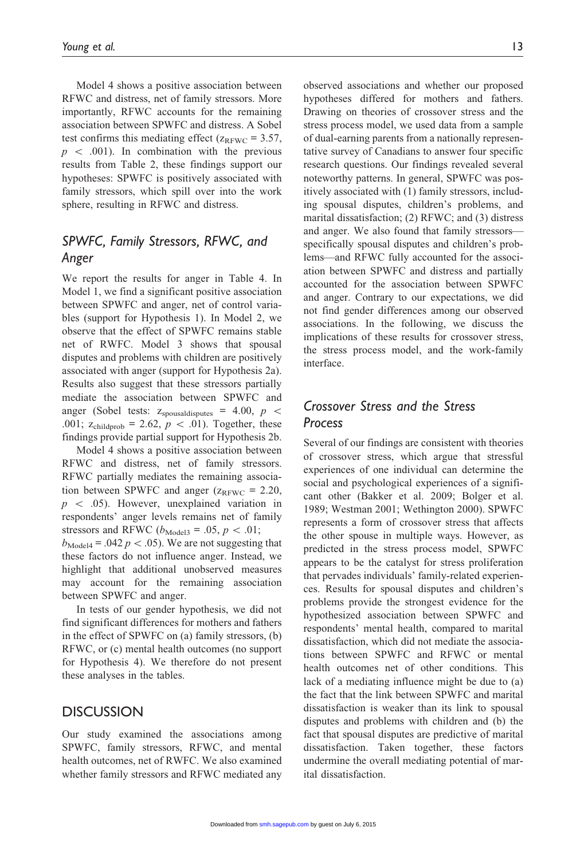Model 4 shows a positive association between RFWC and distress, net of family stressors. More importantly, RFWC accounts for the remaining association between SPWFC and distress. A Sobel test confirms this mediating effect ( $z_{RFWC}$  = 3.57,  $p \, < \, .001$ ). In combination with the previous results from Table 2, these findings support our hypotheses: SPWFC is positively associated with family stressors, which spill over into the work sphere, resulting in RFWC and distress.

## SPWFC, Family Stressors, RFWC, and Anger

We report the results for anger in Table 4. In Model 1, we find a significant positive association between SPWFC and anger, net of control variables (support for Hypothesis 1). In Model 2, we observe that the effect of SPWFC remains stable net of RWFC. Model 3 shows that spousal disputes and problems with children are positively associated with anger (support for Hypothesis 2a). Results also suggest that these stressors partially mediate the association between SPWFC and anger (Sobel tests:  $z_{\text{spousaldisputes}} = 4.00, p \le$ .001;  $z_{\text{children}} = 2.62$ ,  $p \ < .01$ ). Together, these findings provide partial support for Hypothesis 2b.

Model 4 shows a positive association between RFWC and distress, net of family stressors. RFWC partially mediates the remaining association between SPWFC and anger ( $z_{RFWC}$  = 2.20,  $p \sim .05$ ). However, unexplained variation in respondents' anger levels remains net of family stressors and RFWC ( $b_{\text{Model3}} = .05$ ,  $p < .01$ ;  $b_{\text{Model4}}$  = .042  $p \lt .05$ ). We are not suggesting that these factors do not influence anger. Instead, we highlight that additional unobserved measures may account for the remaining association between SPWFC and anger.

In tests of our gender hypothesis, we did not find significant differences for mothers and fathers in the effect of SPWFC on (a) family stressors, (b) RFWC, or (c) mental health outcomes (no support for Hypothesis 4). We therefore do not present these analyses in the tables.

#### **DISCUSSION**

Our study examined the associations among SPWFC, family stressors, RFWC, and mental health outcomes, net of RWFC. We also examined whether family stressors and RFWC mediated any

observed associations and whether our proposed hypotheses differed for mothers and fathers. Drawing on theories of crossover stress and the stress process model, we used data from a sample of dual-earning parents from a nationally representative survey of Canadians to answer four specific research questions. Our findings revealed several noteworthy patterns. In general, SPWFC was positively associated with (1) family stressors, including spousal disputes, children's problems, and marital dissatisfaction; (2) RFWC; and (3) distress and anger. We also found that family stressors specifically spousal disputes and children's problems—and RFWC fully accounted for the association between SPWFC and distress and partially accounted for the association between SPWFC and anger. Contrary to our expectations, we did not find gender differences among our observed associations. In the following, we discuss the implications of these results for crossover stress,

# Crossover Stress and the Stress Process

interface.

the stress process model, and the work-family

Several of our findings are consistent with theories of crossover stress, which argue that stressful experiences of one individual can determine the social and psychological experiences of a significant other (Bakker et al. 2009; Bolger et al. 1989; Westman 2001; Wethington 2000). SPWFC represents a form of crossover stress that affects the other spouse in multiple ways. However, as predicted in the stress process model, SPWFC appears to be the catalyst for stress proliferation that pervades individuals' family-related experiences. Results for spousal disputes and children's problems provide the strongest evidence for the hypothesized association between SPWFC and respondents' mental health, compared to marital dissatisfaction, which did not mediate the associations between SPWFC and RFWC or mental health outcomes net of other conditions. This lack of a mediating influence might be due to (a) the fact that the link between SPWFC and marital dissatisfaction is weaker than its link to spousal disputes and problems with children and (b) the fact that spousal disputes are predictive of marital dissatisfaction. Taken together, these factors undermine the overall mediating potential of marital dissatisfaction.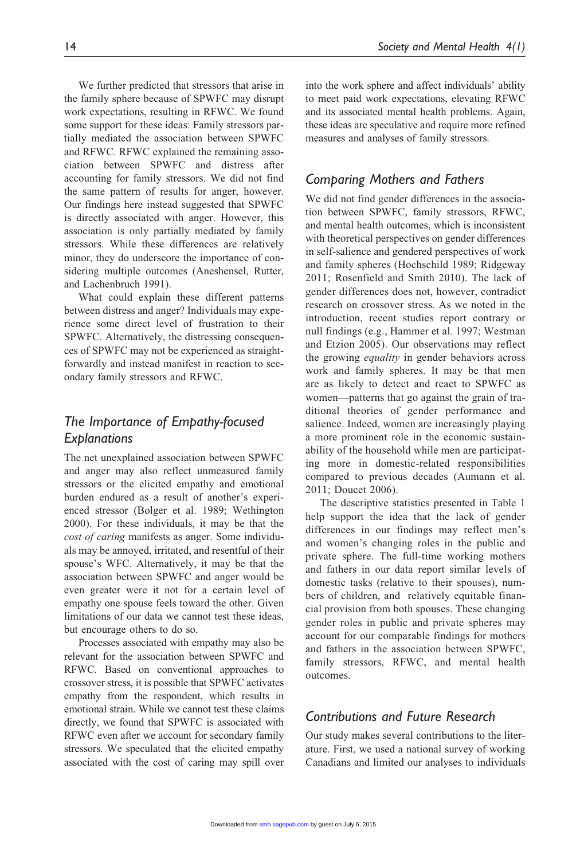We further predicted that stressors that arise in the family sphere because of SPWFC may disrupt work expectations, resulting in RFWC. We found some support for these ideas: Family stressors partially mediated the association between SPWFC and RFWC. RFWC explained the remaining association between SPWFC and distress after accounting for family stressors. We did not find the same pattern of results for anger, however. Our findings here instead suggested that SPWFC is directly associated with anger. However, this association is only partially mediated by family stressors. While these differences are relatively minor, they do underscore the importance of considering multiple outcomes (Aneshensel, Rutter, and Lachenbruch 1991).

What could explain these different patterns between distress and anger? Individuals may experience some direct level of frustration to their SPWFC. Alternatively, the distressing consequences of SPWFC may not be experienced as straightforwardly and instead manifest in reaction to secondary family stressors and RFWC.

# The Importance of Empathy-focused Explanations

The net unexplained association between SPWFC and anger may also reflect unmeasured family stressors or the elicited empathy and emotional burden endured as a result of another's experienced stressor (Bolger et al. 1989; Wethington 2000). For these individuals, it may be that the cost of caring manifests as anger. Some individuals may be annoyed, irritated, and resentful of their spouse's WFC. Alternatively, it may be that the association between SPWFC and anger would be even greater were it not for a certain level of empathy one spouse feels toward the other. Given limitations of our data we cannot test these ideas, but encourage others to do so.

Processes associated with empathy may also be relevant for the association between SPWFC and RFWC. Based on conventional approaches to crossover stress, it is possible that SPWFC activates empathy from the respondent, which results in emotional strain. While we cannot test these claims directly, we found that SPWFC is associated with RFWC even after we account for secondary family stressors. We speculated that the elicited empathy associated with the cost of caring may spill over into the work sphere and affect individuals' ability to meet paid work expectations, elevating RFWC and its associated mental health problems. Again, these ideas are speculative and require more refined measures and analyses of family stressors.

## Comparing Mothers and Fathers

We did not find gender differences in the association between SPWFC, family stressors, RFWC, and mental health outcomes, which is inconsistent with theoretical perspectives on gender differences in self-salience and gendered perspectives of work and family spheres (Hochschild 1989; Ridgeway 2011; Rosenfield and Smith 2010). The lack of gender differences does not, however, contradict research on crossover stress. As we noted in the introduction, recent studies report contrary or null findings (e.g., Hammer et al. 1997; Westman and Etzion 2005). Our observations may reflect the growing *equality* in gender behaviors across work and family spheres. It may be that men are as likely to detect and react to SPWFC as women—patterns that go against the grain of traditional theories of gender performance and salience. Indeed, women are increasingly playing a more prominent role in the economic sustainability of the household while men are participating more in domestic-related responsibilities compared to previous decades (Aumann et al. 2011; Doucet 2006).

The descriptive statistics presented in Table 1 help support the idea that the lack of gender differences in our findings may reflect men's and women's changing roles in the public and private sphere. The full-time working mothers and fathers in our data report similar levels of domestic tasks (relative to their spouses), numbers of children, and relatively equitable financial provision from both spouses. These changing gender roles in public and private spheres may account for our comparable findings for mothers and fathers in the association between SPWFC, family stressors, RFWC, and mental health outcomes.

## Contributions and Future Research

Our study makes several contributions to the literature. First, we used a national survey of working Canadians and limited our analyses to individuals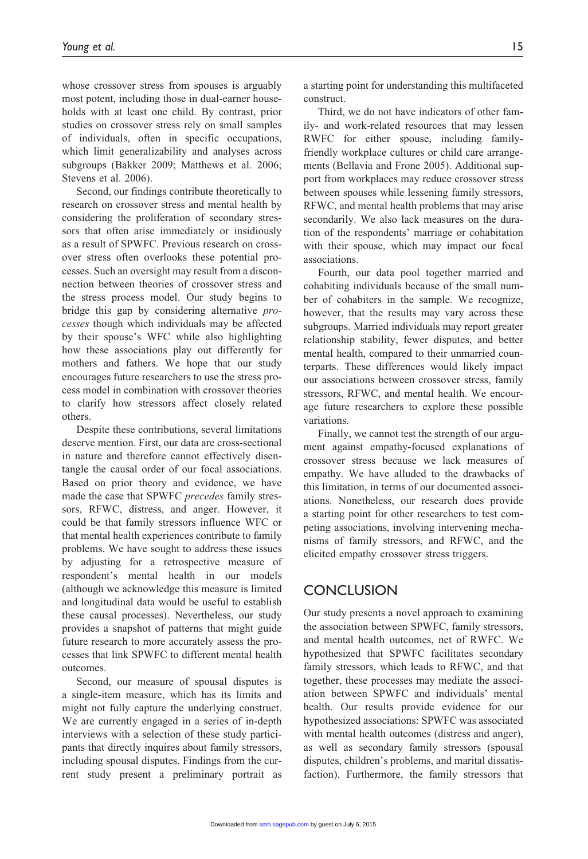whose crossover stress from spouses is arguably most potent, including those in dual-earner households with at least one child. By contrast, prior studies on crossover stress rely on small samples of individuals, often in specific occupations, which limit generalizability and analyses across subgroups (Bakker 2009; Matthews et al. 2006; Stevens et al. 2006).

Second, our findings contribute theoretically to research on crossover stress and mental health by considering the proliferation of secondary stressors that often arise immediately or insidiously as a result of SPWFC. Previous research on crossover stress often overlooks these potential processes. Such an oversight may result from a disconnection between theories of crossover stress and the stress process model. Our study begins to bridge this gap by considering alternative processes though which individuals may be affected by their spouse's WFC while also highlighting how these associations play out differently for mothers and fathers. We hope that our study encourages future researchers to use the stress process model in combination with crossover theories to clarify how stressors affect closely related others.

Despite these contributions, several limitations deserve mention. First, our data are cross-sectional in nature and therefore cannot effectively disentangle the causal order of our focal associations. Based on prior theory and evidence, we have made the case that SPWFC precedes family stressors, RFWC, distress, and anger. However, it could be that family stressors influence WFC or that mental health experiences contribute to family problems. We have sought to address these issues by adjusting for a retrospective measure of respondent's mental health in our models (although we acknowledge this measure is limited and longitudinal data would be useful to establish these causal processes). Nevertheless, our study provides a snapshot of patterns that might guide future research to more accurately assess the processes that link SPWFC to different mental health outcomes.

Second, our measure of spousal disputes is a single-item measure, which has its limits and might not fully capture the underlying construct. We are currently engaged in a series of in-depth interviews with a selection of these study participants that directly inquires about family stressors, including spousal disputes. Findings from the current study present a preliminary portrait as

a starting point for understanding this multifaceted construct.

Third, we do not have indicators of other family- and work-related resources that may lessen RWFC for either spouse, including familyfriendly workplace cultures or child care arrangements (Bellavia and Frone 2005). Additional support from workplaces may reduce crossover stress between spouses while lessening family stressors, RFWC, and mental health problems that may arise secondarily. We also lack measures on the duration of the respondents' marriage or cohabitation with their spouse, which may impact our focal associations.

Fourth, our data pool together married and cohabiting individuals because of the small number of cohabiters in the sample. We recognize, however, that the results may vary across these subgroups. Married individuals may report greater relationship stability, fewer disputes, and better mental health, compared to their unmarried counterparts. These differences would likely impact our associations between crossover stress, family stressors, RFWC, and mental health. We encourage future researchers to explore these possible variations.

Finally, we cannot test the strength of our argument against empathy-focused explanations of crossover stress because we lack measures of empathy. We have alluded to the drawbacks of this limitation, in terms of our documented associations. Nonetheless, our research does provide a starting point for other researchers to test competing associations, involving intervening mechanisms of family stressors, and RFWC, and the elicited empathy crossover stress triggers.

## **CONCLUSION**

Our study presents a novel approach to examining the association between SPWFC, family stressors, and mental health outcomes, net of RWFC. We hypothesized that SPWFC facilitates secondary family stressors, which leads to RFWC, and that together, these processes may mediate the association between SPWFC and individuals' mental health. Our results provide evidence for our hypothesized associations: SPWFC was associated with mental health outcomes (distress and anger), as well as secondary family stressors (spousal disputes, children's problems, and marital dissatisfaction). Furthermore, the family stressors that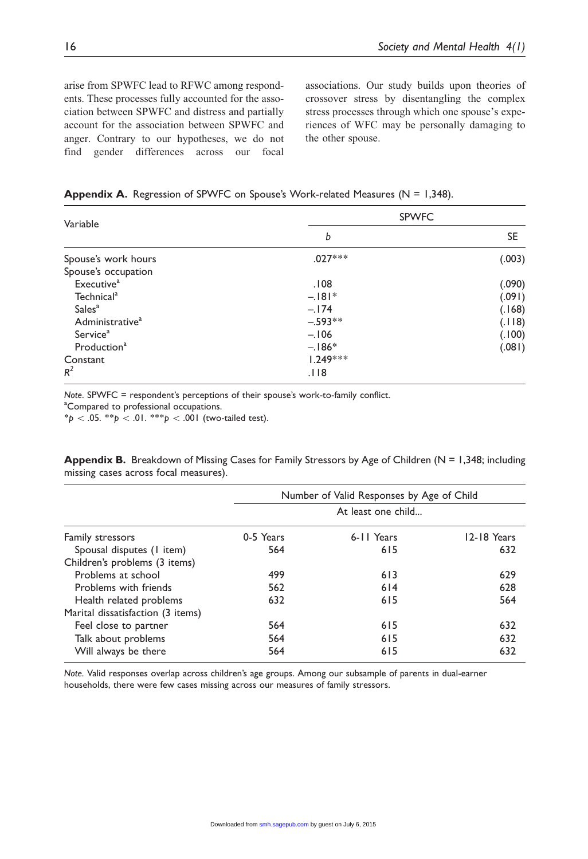arise from SPWFC lead to RFWC among respondents. These processes fully accounted for the association between SPWFC and distress and partially account for the association between SPWFC and anger. Contrary to our hypotheses, we do not find gender differences across our focal associations. Our study builds upon theories of crossover stress by disentangling the complex stress processes through which one spouse's experiences of WFC may be personally damaging to the other spouse.

| Variable                    | <b>SPWFC</b> |        |  |  |  |  |
|-----------------------------|--------------|--------|--|--|--|--|
|                             | b            | SE.    |  |  |  |  |
| Spouse's work hours         | $.027***$    | (.003) |  |  |  |  |
| Spouse's occupation         |              |        |  |  |  |  |
| Executive <sup>a</sup>      | .108         | (.090) |  |  |  |  |
| Technical <sup>a</sup>      | $-.181*$     | (.091) |  |  |  |  |
| Sales <sup>a</sup>          | $-.174$      | (.168) |  |  |  |  |
| Administrative <sup>a</sup> | $-.593**$    | (.118) |  |  |  |  |
| Service <sup>a</sup>        | $-.106$      | (.100) |  |  |  |  |
| Production <sup>a</sup>     | $-.186*$     | (.081) |  |  |  |  |
| Constant                    | $1.249***$   |        |  |  |  |  |
| $R^2$                       | .118         |        |  |  |  |  |

Appendix A. Regression of SPWFC on Spouse's Work-related Measures (N = 1,348).

Note. SPWFC = respondent's perceptions of their spouse's work-to-family conflict. <sup>a</sup>Compared to professional occupations.

\*p < .05. \*\*p < .01. \*\*\*p < .001 (two-tailed test).

|                                   | Number of Valid Responses by Age of Child |                    |             |  |  |  |  |  |  |
|-----------------------------------|-------------------------------------------|--------------------|-------------|--|--|--|--|--|--|
|                                   |                                           | At least one child |             |  |  |  |  |  |  |
| Family stressors                  | 0-5 Years                                 | 6-11 Years         | 12-18 Years |  |  |  |  |  |  |
| Spousal disputes (1 item)         | 564                                       | 615                | 632         |  |  |  |  |  |  |
| Children's problems (3 items)     |                                           |                    |             |  |  |  |  |  |  |
| Problems at school                | 499                                       | 613                | 629         |  |  |  |  |  |  |
| Problems with friends             | 562                                       | 614                | 628         |  |  |  |  |  |  |
| Health related problems           | 632                                       | 615                | 564         |  |  |  |  |  |  |
| Marital dissatisfaction (3 items) |                                           |                    |             |  |  |  |  |  |  |
| Feel close to partner             | 564                                       | 615                | 632         |  |  |  |  |  |  |
| Talk about problems               | 564                                       | 615                | 632         |  |  |  |  |  |  |
| Will always be there              | 564                                       | 615                | 632         |  |  |  |  |  |  |

Appendix B. Breakdown of Missing Cases for Family Stressors by Age of Children (N = 1,348; including missing cases across focal measures).

Note. Valid responses overlap across children's age groups. Among our subsample of parents in dual-earner households, there were few cases missing across our measures of family stressors.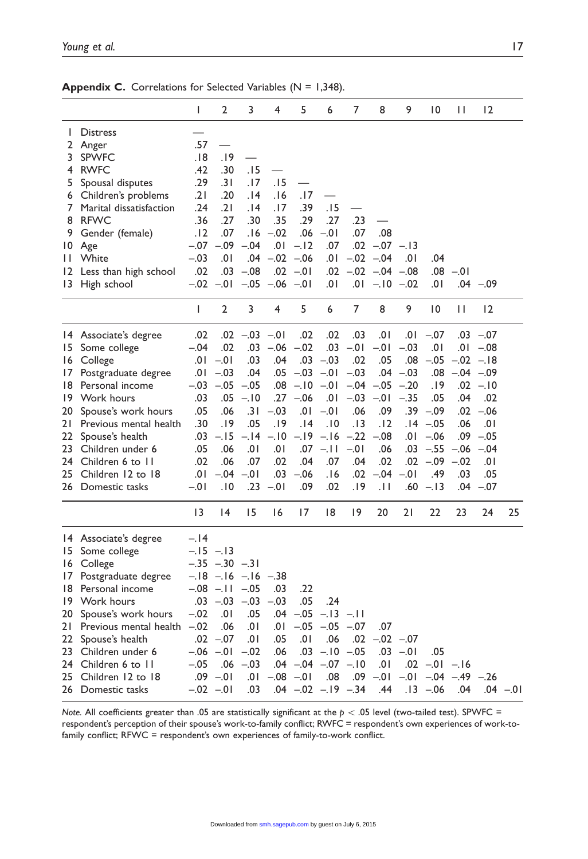|                  |                                     | I                                                                                                                                                                                                                                                                                                                                                                                | $\overline{2}$       | 3                 | 4              | 5                       | 6             | 7             | 8                       | 9          | 10                    | П           | 12                    |             |
|------------------|-------------------------------------|----------------------------------------------------------------------------------------------------------------------------------------------------------------------------------------------------------------------------------------------------------------------------------------------------------------------------------------------------------------------------------|----------------------|-------------------|----------------|-------------------------|---------------|---------------|-------------------------|------------|-----------------------|-------------|-----------------------|-------------|
| I                | <b>Distress</b>                     |                                                                                                                                                                                                                                                                                                                                                                                  |                      |                   |                |                         |               |               |                         |            |                       |             |                       |             |
| 2                | Anger                               | .57                                                                                                                                                                                                                                                                                                                                                                              |                      |                   |                |                         |               |               |                         |            |                       |             |                       |             |
| 3                | <b>SPWFC</b>                        | .18                                                                                                                                                                                                                                                                                                                                                                              | ۱9.                  |                   |                |                         |               |               |                         |            |                       |             |                       |             |
| 4                | <b>RWFC</b>                         | .42                                                                                                                                                                                                                                                                                                                                                                              | .30                  | 15.               |                |                         |               |               |                         |            |                       |             |                       |             |
| 5                | Spousal disputes                    | .29                                                                                                                                                                                                                                                                                                                                                                              | .31                  | .17               | . I 5          |                         |               |               |                         |            |                       |             |                       |             |
| 6                | Children's problems                 | ا 2.                                                                                                                                                                                                                                                                                                                                                                             | .20                  | .14               | 16.            | .17                     |               |               |                         |            |                       |             |                       |             |
| 7                | Marital dissatisfaction             | .24                                                                                                                                                                                                                                                                                                                                                                              | .21                  | 14.               | .17            | .39                     | . 15          |               |                         |            |                       |             |                       |             |
| 8                | <b>RFWC</b>                         | .36                                                                                                                                                                                                                                                                                                                                                                              | .27                  | .30               | .35            | .29                     | .27           | .23           |                         |            |                       |             |                       |             |
| 9                | Gender (female)                     | .12                                                                                                                                                                                                                                                                                                                                                                              | .07                  | 16.               | $-.02$         | .06                     | $-.01$        | .07           | .08                     |            |                       |             |                       |             |
| 10               | Age                                 | $-.07$                                                                                                                                                                                                                                                                                                                                                                           | $-.09$               | $-.04$            | .٥١            | $-.12$                  | .07           | .02           | $-.07 - .13$            |            |                       |             |                       |             |
| H.               | White                               | $-.03$                                                                                                                                                                                                                                                                                                                                                                           | .01                  | .04               | $-.02$         | $-.06$                  | .01           |               | $-.02$ $-.04$           | 0١.        | .04                   |             |                       |             |
| 12               | Less than high school               | .02<br>$-.02$                                                                                                                                                                                                                                                                                                                                                                    | .03<br>$-.01$        | $-.08$<br>$-.05$  | $-.06 - .01$   | $.02 - .01$             | .01           |               | $.02 - .02 - .04 - .08$ |            | 0۱.                   | $.08 - .01$ |                       |             |
| 13               | High school                         |                                                                                                                                                                                                                                                                                                                                                                                  |                      |                   |                |                         |               | .٥١           |                         | $-.10-.02$ |                       |             | $.04 - .09$           |             |
|                  |                                     | $\begin{array}{c} \rule{0pt}{2.5ex} \rule{0pt}{2.5ex} \rule{0pt}{2.5ex} \rule{0pt}{2.5ex} \rule{0pt}{2.5ex} \rule{0pt}{2.5ex} \rule{0pt}{2.5ex} \rule{0pt}{2.5ex} \rule{0pt}{2.5ex} \rule{0pt}{2.5ex} \rule{0pt}{2.5ex} \rule{0pt}{2.5ex} \rule{0pt}{2.5ex} \rule{0pt}{2.5ex} \rule{0pt}{2.5ex} \rule{0pt}{2.5ex} \rule{0pt}{2.5ex} \rule{0pt}{2.5ex} \rule{0pt}{2.5ex} \rule{0$ | $\overline{2}$       | 3                 | $\overline{4}$ | 5                       | 6             | 7             | 8                       | 9          | $\overline{0}$        | П           | 12                    |             |
|                  | 14 Associate's degree               | .02                                                                                                                                                                                                                                                                                                                                                                              |                      | $.02 - .03 - .01$ |                | .02                     | .02           | .03           | .01                     | .01        | $-.07$                |             | $.03 - .07$           |             |
| 15               | Some college                        | $-.04$                                                                                                                                                                                                                                                                                                                                                                           | .02                  | .03               |                | $-.06$ $-.02$           | .03           | $-.01$        | $-0.01$                 | $-.03$     | .01                   |             | $.01 - .08$           |             |
| 16               | College                             | .0۱                                                                                                                                                                                                                                                                                                                                                                              | $-.01$               | .03               | .04            | .03                     | $-.03$        | .02           | .05                     | .08        | $-.05$                |             | $-.02 - .18$          |             |
| 17               | Postgraduate degree                 | .0۱                                                                                                                                                                                                                                                                                                                                                                              | $-.03$               | .04               | .05            | $-.03$                  | $-.01$        | $-.03$        | .04                     | $-.03$     | .08                   |             | $-.04$ $-.09$         |             |
| 18               | Personal income                     | $-.03$                                                                                                                                                                                                                                                                                                                                                                           | $-.05$               | $-.05$            | .08            | $-.10$                  | $-.01$        | $-.04$        | $-.05$                  | $-.20$     | 19.                   |             | $.02 - 10$            |             |
| 19               | Work hours                          | .03                                                                                                                                                                                                                                                                                                                                                                              | .05                  | $-.10$            | .27            | $-.06$                  | 0١.           | $-.03$        | $-.01$                  | $-.35$     | .05                   | .04         | .02                   |             |
| 20               | Spouse's work hours                 | .05                                                                                                                                                                                                                                                                                                                                                                              | .06                  | .31               | $-.03$         | 0١.                     | $-.01$        | .06           | .09                     |            | $.39 - .09$           |             | $.02 - .06$           |             |
| 21               | Previous mental health              | .30                                                                                                                                                                                                                                                                                                                                                                              | .19                  | .05               | .19            | .14                     | .10<br>$-.16$ | .13<br>$-.22$ | .12<br>$-.08$           |            | $.14 - .05$           | .06         | .01                   |             |
| 22<br>23         | Spouse's health<br>Children under 6 | .03<br>.05                                                                                                                                                                                                                                                                                                                                                                       | $-.15$<br>.06        | $-.14$<br>0١.     | $-.10$<br>0١.  | $-.19$<br>.07           | $-.11$        | $-.01$        | .06                     | .01        | $-.06$<br>$.03 - .55$ | $-.06$      | $.09 - .05$<br>$-.04$ |             |
| 24               | Children 6 to 11                    | .02                                                                                                                                                                                                                                                                                                                                                                              | .06                  | .07               | .02            | .04                     | .07           | .04           | .02                     |            | $.02 - .09$           | $-.02$      | 0١.                   |             |
| 25               | Children 12 to 18                   | .٥١                                                                                                                                                                                                                                                                                                                                                                              | $-.04$               | $-.01$            | .03            | $-.06$                  | 16.           | .02           | $-.04$                  | $-.01$     | .49                   | .03         | .05                   |             |
| 26.              | Domestic tasks                      | $-01$                                                                                                                                                                                                                                                                                                                                                                            | .10                  | .23               | $-.01$         | .09                     | .02           | 19.           | .11                     | .60        | $-.13$                | .04         | $-.07$                |             |
|                  |                                     |                                                                                                                                                                                                                                                                                                                                                                                  |                      |                   |                |                         |               |               |                         |            |                       |             |                       |             |
|                  |                                     | 3                                                                                                                                                                                                                                                                                                                                                                                | 4                    | 15                | 16             | 17                      | 18            | 9             | 20                      | 21         | 22                    | 23          | 24                    | 25          |
|                  | 14 Associate's degree               | $-.14$                                                                                                                                                                                                                                                                                                                                                                           |                      |                   |                |                         |               |               |                         |            |                       |             |                       |             |
| 15               | Some college                        |                                                                                                                                                                                                                                                                                                                                                                                  | $-.15 - .13$         |                   |                |                         |               |               |                         |            |                       |             |                       |             |
| 16 <sup>16</sup> | College                             |                                                                                                                                                                                                                                                                                                                                                                                  | $-.35 - .30 - .31$   |                   |                |                         |               |               |                         |            |                       |             |                       |             |
| 17               | Postgraduate degree                 |                                                                                                                                                                                                                                                                                                                                                                                  | $-.18$ $-.16$ $-.16$ |                   | $-.38$         |                         |               |               |                         |            |                       |             |                       |             |
| 18               | Personal income                     |                                                                                                                                                                                                                                                                                                                                                                                  | $-.08 - 11$          | $-.05$            | .03            | .22                     |               |               |                         |            |                       |             |                       |             |
| 19               | Work hours                          |                                                                                                                                                                                                                                                                                                                                                                                  | $.03 - .03$          | $-.03$            | $-.03$         | .05                     | .24           |               |                         |            |                       |             |                       |             |
| 20               | Spouse's work hours                 | $-.02$                                                                                                                                                                                                                                                                                                                                                                           | .01                  | .05               | .04            | $-.05$                  | $-.13$        | $-11$         |                         |            |                       |             |                       |             |
| 21               | Previous mental health -.02         |                                                                                                                                                                                                                                                                                                                                                                                  | .06                  | 0١.               | .0۱            | $-.05$                  | $-.05$        | $-.07$        | .07                     |            |                       |             |                       |             |
| 22               | Spouse's health                     |                                                                                                                                                                                                                                                                                                                                                                                  | $.02 - .07$          | .01               | .05            | 0١.                     | .06           |               | $.02 - .02$             | $-.07$     |                       |             |                       |             |
| 23               | Children under 6                    |                                                                                                                                                                                                                                                                                                                                                                                  | $-.06 - .01$         | $-.02$            | .06            | .03                     | $-.10$        | $-.05$        | .03                     | $-.01$     | .05                   |             |                       |             |
| 24               | Children 6 to 11                    | $-.05$                                                                                                                                                                                                                                                                                                                                                                           | .06                  | $-.03$            | .04            | $-.04$                  |               | $-.07 - .10$  | 0١.                     | .02        | $-.01$                | $-.16$      |                       |             |
| 25               | Children 12 to 18                   |                                                                                                                                                                                                                                                                                                                                                                                  | $.09 - .01$          | 0١.               |                | $-.08$ $-.01$           | .08           |               | $.09 - .01$             | $-.01$     | $-.04$                |             | $-.49$ $-.26$         |             |
| 26.              | Domestic tasks                      |                                                                                                                                                                                                                                                                                                                                                                                  | $-.02$ $-.01$        | .03               |                | $.04 - .02 - .19 - .34$ |               |               | .44                     |            | $.13 - .06$           | .04         |                       | $.04 - .01$ |

#### **Appendix C.** Correlations for Selected Variables ( $N = 1,348$ ).

Note. All coefficients greater than .05 are statistically significant at the  $p < .05$  level (two-tailed test). SPWFC = respondent's perception of their spouse's work-to-family conflict; RWFC = respondent's own experiences of work-tofamily conflict; RFWC = respondent's own experiences of family-to-work conflict.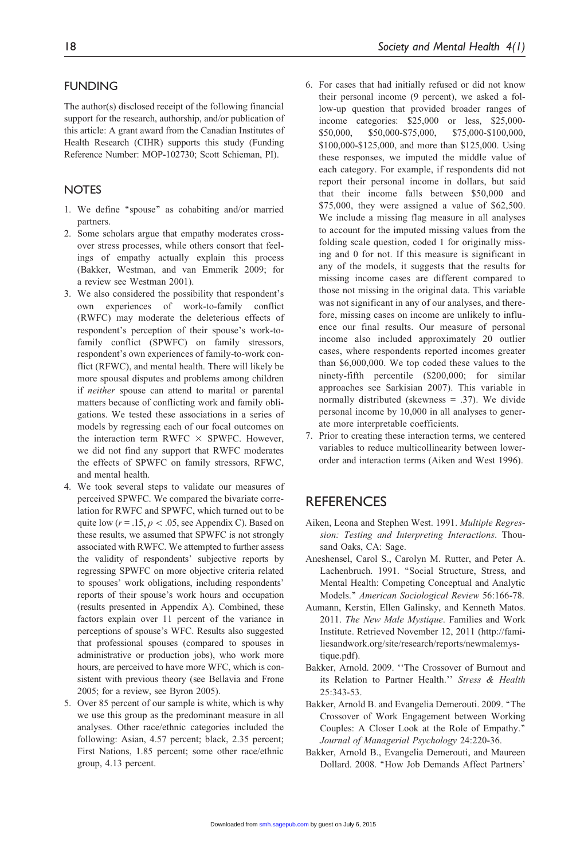#### FUNDING

The author(s) disclosed receipt of the following financial support for the research, authorship, and/or publication of this article: A grant award from the Canadian Institutes of Health Research (CIHR) supports this study (Funding Reference Number: MOP-102730; Scott Schieman, PI).

#### **NOTES**

- 1. We define "spouse" as cohabiting and/or married partners.
- 2. Some scholars argue that empathy moderates crossover stress processes, while others consort that feelings of empathy actually explain this process (Bakker, Westman, and van Emmerik 2009; for a review see Westman 2001).
- 3. We also considered the possibility that respondent's own experiences of work-to-family conflict (RWFC) may moderate the deleterious effects of respondent's perception of their spouse's work-tofamily conflict (SPWFC) on family stressors, respondent's own experiences of family-to-work conflict (RFWC), and mental health. There will likely be more spousal disputes and problems among children if neither spouse can attend to marital or parental matters because of conflicting work and family obligations. We tested these associations in a series of models by regressing each of our focal outcomes on the interaction term RWFC  $\times$  SPWFC. However, we did not find any support that RWFC moderates the effects of SPWFC on family stressors, RFWC, and mental health.
- 4. We took several steps to validate our measures of perceived SPWFC. We compared the bivariate correlation for RWFC and SPWFC, which turned out to be quite low ( $r = .15$ ,  $p < .05$ , see Appendix C). Based on these results, we assumed that SPWFC is not strongly associated with RWFC. We attempted to further assess the validity of respondents' subjective reports by regressing SPWFC on more objective criteria related to spouses' work obligations, including respondents' reports of their spouse's work hours and occupation (results presented in Appendix A). Combined, these factors explain over 11 percent of the variance in perceptions of spouse's WFC. Results also suggested that professional spouses (compared to spouses in administrative or production jobs), who work more hours, are perceived to have more WFC, which is consistent with previous theory (see Bellavia and Frone 2005; for a review, see Byron 2005).
- 5. Over 85 percent of our sample is white, which is why we use this group as the predominant measure in all analyses. Other race/ethnic categories included the following: Asian, 4.57 percent; black, 2.35 percent; First Nations, 1.85 percent; some other race/ethnic group, 4.13 percent.
- 6. For cases that had initially refused or did not know their personal income (9 percent), we asked a follow-up question that provided broader ranges of income categories: \$25,000 or less, \$25,000- \$50,000, \$50,000-\$75,000, \$75,000-\$100,000, \$100,000-\$125,000, and more than \$125,000. Using these responses, we imputed the middle value of each category. For example, if respondents did not report their personal income in dollars, but said that their income falls between \$50,000 and \$75,000, they were assigned a value of \$62,500. We include a missing flag measure in all analyses to account for the imputed missing values from the folding scale question, coded 1 for originally missing and 0 for not. If this measure is significant in any of the models, it suggests that the results for missing income cases are different compared to those not missing in the original data. This variable was not significant in any of our analyses, and therefore, missing cases on income are unlikely to influence our final results. Our measure of personal income also included approximately 20 outlier cases, where respondents reported incomes greater than \$6,000,000. We top coded these values to the ninety-fifth percentile (\$200,000; for similar approaches see Sarkisian 2007). This variable in normally distributed (skewness = .37). We divide personal income by 10,000 in all analyses to generate more interpretable coefficients.
- 7. Prior to creating these interaction terms, we centered variables to reduce multicollinearity between lowerorder and interaction terms (Aiken and West 1996).

#### **REFERENCES**

- Aiken, Leona and Stephen West. 1991. Multiple Regression: Testing and Interpreting Interactions. Thousand Oaks, CA: Sage.
- Aneshensel, Carol S., Carolyn M. Rutter, and Peter A. Lachenbruch. 1991. "Social Structure, Stress, and Mental Health: Competing Conceptual and Analytic Models.'' American Sociological Review 56:166-78.
- Aumann, Kerstin, Ellen Galinsky, and Kenneth Matos. 2011. The New Male Mystique. Families and Work Institute. Retrieved November 12, 2011 (http://familiesandwork.org/site/research/reports/newmalemystique.pdf).
- Bakker, Arnold. 2009. ''The Crossover of Burnout and its Relation to Partner Health.'' Stress & Health 25:343-53.
- Bakker, Arnold B. and Evangelia Demerouti. 2009. "The Crossover of Work Engagement between Working Couples: A Closer Look at the Role of Empathy.'' Journal of Managerial Psychology 24:220-36.
- Bakker, Arnold B., Evangelia Demerouti, and Maureen Dollard. 2008. ''How Job Demands Affect Partners'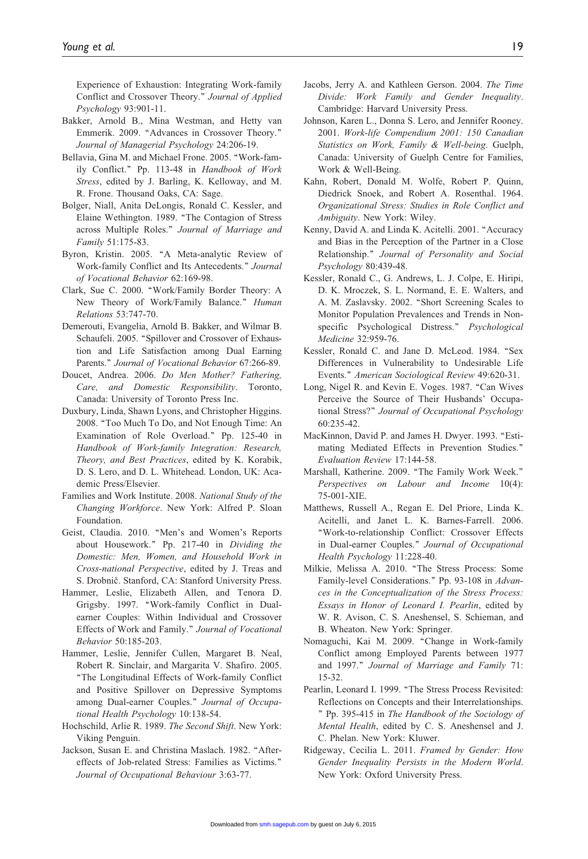Experience of Exhaustion: Integrating Work-family Conflict and Crossover Theory.'' Journal of Applied Psychology 93:901-11.

- Bakker, Arnold B., Mina Westman, and Hetty van Emmerik. 2009. "Advances in Crossover Theory." Journal of Managerial Psychology 24:206-19.
- Bellavia, Gina M. and Michael Frone. 2005. ''Work-family Conflict.'' Pp. 113-48 in Handbook of Work Stress, edited by J. Barling, K. Kelloway, and M. R. Frone. Thousand Oaks, CA: Sage.
- Bolger, Niall, Anita DeLongis, Ronald C. Kessler, and Elaine Wethington. 1989. "The Contagion of Stress across Multiple Roles.'' Journal of Marriage and Family 51:175-83.
- Byron, Kristin. 2005. ''A Meta-analytic Review of Work-family Conflict and Its Antecedents.'' Journal of Vocational Behavior 62:169-98.
- Clark, Sue C. 2000. ''Work/Family Border Theory: A New Theory of Work/Family Balance." Human Relations 53:747-70.
- Demerouti, Evangelia, Arnold B. Bakker, and Wilmar B. Schaufeli. 2005. "Spillover and Crossover of Exhaustion and Life Satisfaction among Dual Earning Parents.'' Journal of Vocational Behavior 67:266-89.
- Doucet, Andrea. 2006. Do Men Mother? Fathering, Care, and Domestic Responsibility. Toronto, Canada: University of Toronto Press Inc.
- Duxbury, Linda, Shawn Lyons, and Christopher Higgins. 2008. ''Too Much To Do, and Not Enough Time: An Examination of Role Overload.'' Pp. 125-40 in Handbook of Work-family Integration: Research, Theory, and Best Practices, edited by K. Korabik, D. S. Lero, and D. L. Whitehead. London, UK: Academic Press/Elsevier.
- Families and Work Institute. 2008. National Study of the Changing Workforce. New York: Alfred P. Sloan Foundation.
- Geist, Claudia. 2010. ''Men's and Women's Reports about Housework.'' Pp. 217-40 in Dividing the Domestic: Men, Women, and Household Work in Cross-national Perspective, edited by J. Treas and S. Drobnič. Stanford, CA: Stanford University Press.
- Hammer, Leslie, Elizabeth Allen, and Tenora D. Grigsby. 1997. ''Work-family Conflict in Dualearner Couples: Within Individual and Crossover Effects of Work and Family.'' Journal of Vocational Behavior 50:185-203.
- Hammer, Leslie, Jennifer Cullen, Margaret B. Neal, Robert R. Sinclair, and Margarita V. Shafiro. 2005. ''The Longitudinal Effects of Work-family Conflict and Positive Spillover on Depressive Symptoms among Dual-earner Couples." Journal of Occupational Health Psychology 10:138-54.
- Hochschild, Arlie R. 1989. The Second Shift. New York: Viking Penguin.
- Jackson, Susan E. and Christina Maslach. 1982. "Aftereffects of Job-related Stress: Families as Victims.'' Journal of Occupational Behaviour 3:63-77.
- Jacobs, Jerry A. and Kathleen Gerson. 2004. The Time Divide: Work Family and Gender Inequality. Cambridge: Harvard University Press.
- Johnson, Karen L., Donna S. Lero, and Jennifer Rooney. 2001. Work-life Compendium 2001: 150 Canadian Statistics on Work, Family & Well-being. Guelph, Canada: University of Guelph Centre for Families, Work & Well-Being.
- Kahn, Robert, Donald M. Wolfe, Robert P. Quinn, Diedrick Snoek, and Robert A. Rosenthal. 1964. Organizational Stress: Studies in Role Conflict and Ambiguity. New York: Wiley.
- Kenny, David A. and Linda K. Acitelli. 2001. "Accuracy and Bias in the Perception of the Partner in a Close Relationship.'' Journal of Personality and Social Psychology 80:439-48.
- Kessler, Ronald C., G. Andrews, L. J. Colpe, E. Hiripi, D. K. Mroczek, S. L. Normand, E. E. Walters, and A. M. Zaslavsky. 2002. ''Short Screening Scales to Monitor Population Prevalences and Trends in Nonspecific Psychological Distress.'' Psychological Medicine 32:959-76.
- Kessler, Ronald C. and Jane D. McLeod. 1984. "Sex Differences in Vulnerability to Undesirable Life Events.'' American Sociological Review 49:620-31.
- Long, Nigel R. and Kevin E. Voges. 1987. "Can Wives Perceive the Source of Their Husbands' Occupational Stress?'' Journal of Occupational Psychology 60:235-42.
- MacKinnon, David P. and James H. Dwyer. 1993. "Estimating Mediated Effects in Prevention Studies.'' Evaluation Review 17:144-58.
- Marshall, Katherine. 2009. "The Family Work Week." Perspectives on Labour and Income 10(4): 75-001-XIE.
- Matthews, Russell A., Regan E. Del Priore, Linda K. Acitelli, and Janet L. K. Barnes-Farrell. 2006. ''Work-to-relationship Conflict: Crossover Effects in Dual-earner Couples." Journal of Occupational Health Psychology 11:228-40.
- Milkie, Melissa A. 2010. "The Stress Process: Some Family-level Considerations.'' Pp. 93-108 in Advances in the Conceptualization of the Stress Process: Essays in Honor of Leonard I. Pearlin, edited by W. R. Avison, C. S. Aneshensel, S. Schieman, and B. Wheaton. New York: Springer.
- Nomaguchi, Kai M. 2009. "Change in Work-family Conflict among Employed Parents between 1977 and 1997.'' Journal of Marriage and Family 71: 15-32.
- Pearlin, Leonard I. 1999. "The Stress Process Revisited: Reflections on Concepts and their Interrelationships. '' Pp. 395-415 in The Handbook of the Sociology of Mental Health, edited by C. S. Aneshensel and J. C. Phelan. New York: Kluwer.
- Ridgeway, Cecilia L. 2011. Framed by Gender: How Gender Inequality Persists in the Modern World. New York: Oxford University Press.